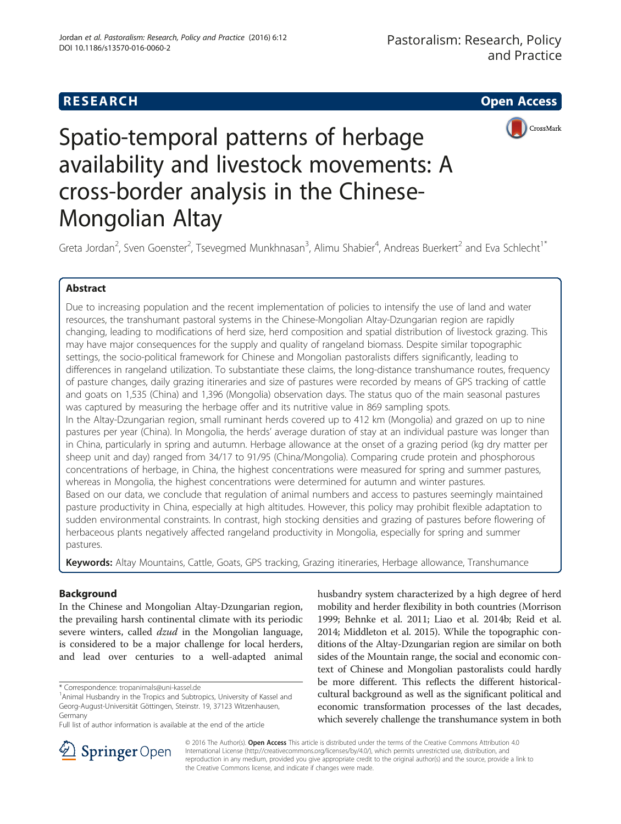## **RESEARCH CHE Open Access**



# Spatio-temporal patterns of herbage availability and livestock movements: A cross-border analysis in the Chinese-Mongolian Altay

Greta Jordan<sup>2</sup>, Sven Goenster<sup>2</sup>, Tsevegmed Munkhnasan<sup>3</sup>, Alimu Shabier<sup>4</sup>, Andreas Buerkert<sup>2</sup> and Eva Schlecht<sup>1\*</sup>

## Abstract

Due to increasing population and the recent implementation of policies to intensify the use of land and water resources, the transhumant pastoral systems in the Chinese-Mongolian Altay-Dzungarian region are rapidly changing, leading to modifications of herd size, herd composition and spatial distribution of livestock grazing. This may have major consequences for the supply and quality of rangeland biomass. Despite similar topographic settings, the socio-political framework for Chinese and Mongolian pastoralists differs significantly, leading to differences in rangeland utilization. To substantiate these claims, the long-distance transhumance routes, frequency of pasture changes, daily grazing itineraries and size of pastures were recorded by means of GPS tracking of cattle and goats on 1,535 (China) and 1,396 (Mongolia) observation days. The status quo of the main seasonal pastures was captured by measuring the herbage offer and its nutritive value in 869 sampling spots.

In the Altay-Dzungarian region, small ruminant herds covered up to 412 km (Mongolia) and grazed on up to nine pastures per year (China). In Mongolia, the herds' average duration of stay at an individual pasture was longer than in China, particularly in spring and autumn. Herbage allowance at the onset of a grazing period (kg dry matter per sheep unit and day) ranged from 34/17 to 91/95 (China/Mongolia). Comparing crude protein and phosphorous concentrations of herbage, in China, the highest concentrations were measured for spring and summer pastures, whereas in Mongolia, the highest concentrations were determined for autumn and winter pastures. Based on our data, we conclude that regulation of animal numbers and access to pastures seemingly maintained pasture productivity in China, especially at high altitudes. However, this policy may prohibit flexible adaptation to sudden environmental constraints. In contrast, high stocking densities and grazing of pastures before flowering of herbaceous plants negatively affected rangeland productivity in Mongolia, especially for spring and summer pastures.

Keywords: Altay Mountains, Cattle, Goats, GPS tracking, Grazing itineraries, Herbage allowance, Transhumance

## Background

In the Chinese and Mongolian Altay-Dzungarian region, the prevailing harsh continental climate with its periodic severe winters, called *dzud* in the Mongolian language, is considered to be a major challenge for local herders, and lead over centuries to a well-adapted animal

husbandry system characterized by a high degree of herd mobility and herder flexibility in both countries (Morrison [1999](#page-15-0); Behnke et al. [2011;](#page-14-0) Liao et al. [2014b](#page-15-0); Reid et al. [2014](#page-15-0); Middleton et al. [2015\)](#page-15-0). While the topographic conditions of the Altay-Dzungarian region are similar on both sides of the Mountain range, the social and economic context of Chinese and Mongolian pastoralists could hardly be more different. This reflects the different historicalcultural background as well as the significant political and economic transformation processes of the last decades, which severely challenge the transhumance system in both



© 2016 The Author(s). Open Access This article is distributed under the terms of the Creative Commons Attribution 4.0 International License ([http://creativecommons.org/licenses/by/4.0/\)](http://creativecommons.org/licenses/by/4.0/), which permits unrestricted use, distribution, and reproduction in any medium, provided you give appropriate credit to the original author(s) and the source, provide a link to the Creative Commons license, and indicate if changes were made.

<sup>\*</sup> Correspondence: [tropanimals@uni-kassel.de](mailto:tropanimals@uni-kassel.de) <sup>1</sup>

<sup>&</sup>lt;sup>1</sup> Animal Husbandry in the Tropics and Subtropics, University of Kassel and Georg-August-Universität Göttingen, Steinstr. 19, 37123 Witzenhausen, Germany

Full list of author information is available at the end of the article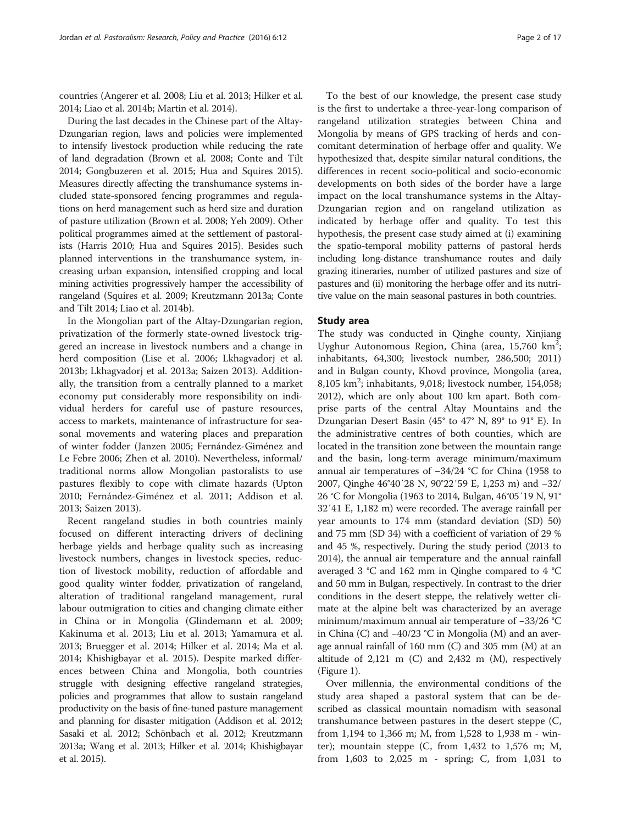countries (Angerer et al. [2008](#page-14-0); Liu et al. [2013](#page-15-0); Hilker et al. [2014;](#page-14-0) Liao et al. [2014b](#page-15-0); Martin et al. [2014](#page-15-0)).

During the last decades in the Chinese part of the Altay-Dzungarian region, laws and policies were implemented to intensify livestock production while reducing the rate of land degradation (Brown et al. [2008](#page-14-0); Conte and Tilt [2014;](#page-14-0) Gongbuzeren [et al. 2015](#page-14-0); Hua and Squires [2015](#page-14-0)). Measures directly affecting the transhumance systems included state-sponsored fencing programmes and regulations on herd management such as herd size and duration of pasture utilization (Brown et al. [2008](#page-14-0); Yeh [2009\)](#page-16-0). Other political programmes aimed at the settlement of pastoralists (Harris [2010;](#page-14-0) Hua and Squires [2015](#page-14-0)). Besides such planned interventions in the transhumance system, increasing urban expansion, intensified cropping and local mining activities progressively hamper the accessibility of rangeland (Squires et al. [2009](#page-16-0); Kreutzmann [2013a;](#page-15-0) Conte and Tilt [2014](#page-14-0); Liao et al. [2014b\)](#page-15-0).

In the Mongolian part of the Altay-Dzungarian region, privatization of the formerly state-owned livestock triggered an increase in livestock numbers and a change in herd composition (Lise et al. [2006](#page-15-0); Lkhagvadorj et al. [2013b](#page-15-0); Lkhagvadorj et al. [2013a;](#page-15-0) Saizen [2013](#page-15-0)). Additionally, the transition from a centrally planned to a market economy put considerably more responsibility on individual herders for careful use of pasture resources, access to markets, maintenance of infrastructure for seasonal movements and watering places and preparation of winter fodder (Janzen [2005](#page-14-0); Fernández-Giménez and Le Febre [2006;](#page-14-0) Zhen et al. [2010\)](#page-16-0). Nevertheless, informal/ traditional norms allow Mongolian pastoralists to use pastures flexibly to cope with climate hazards (Upton [2010](#page-16-0); Fernández-Giménez et al. [2011](#page-14-0); Addison et al. [2013](#page-14-0); Saizen [2013](#page-15-0)).

Recent rangeland studies in both countries mainly focused on different interacting drivers of declining herbage yields and herbage quality such as increasing livestock numbers, changes in livestock species, reduction of livestock mobility, reduction of affordable and good quality winter fodder, privatization of rangeland, alteration of traditional rangeland management, rural labour outmigration to cities and changing climate either in China or in Mongolia (Glindemann et al. [2009](#page-14-0); Kakinuma et al. [2013](#page-15-0); Liu et al. [2013](#page-15-0); Yamamura et al. [2013](#page-16-0); Bruegger et al. [2014;](#page-14-0) Hilker et al. [2014;](#page-14-0) Ma et al. [2014](#page-15-0); Khishigbayar et al. [2015](#page-15-0)). Despite marked differences between China and Mongolia, both countries struggle with designing effective rangeland strategies, policies and programmes that allow to sustain rangeland productivity on the basis of fine-tuned pasture management and planning for disaster mitigation (Addison et al. [2012](#page-14-0); Sasaki et al. [2012](#page-15-0); Schönbach et al. [2012;](#page-16-0) Kreutzmann [2013a;](#page-15-0) Wang et al. [2013](#page-16-0); Hilker et al. [2014;](#page-14-0) Khishigbayar et al. [2015\)](#page-15-0).

To the best of our knowledge, the present case study is the first to undertake a three-year-long comparison of rangeland utilization strategies between China and Mongolia by means of GPS tracking of herds and concomitant determination of herbage offer and quality. We hypothesized that, despite similar natural conditions, the differences in recent socio-political and socio-economic developments on both sides of the border have a large impact on the local transhumance systems in the Altay-Dzungarian region and on rangeland utilization as indicated by herbage offer and quality. To test this hypothesis, the present case study aimed at (i) examining the spatio-temporal mobility patterns of pastoral herds including long-distance transhumance routes and daily grazing itineraries, number of utilized pastures and size of pastures and (ii) monitoring the herbage offer and its nutritive value on the main seasonal pastures in both countries.

#### Study area

The study was conducted in Qinghe county, Xinjiang Uyghur Autonomous Region, China (area, 15,760 km<sup>2</sup>; inhabitants, 64,300; livestock number, 286,500; 2011) and in Bulgan county, Khovd province, Mongolia (area, 8,105 km<sup>2</sup>; inhabitants, 9,018; livestock number, 154,058; 2012), which are only about 100 km apart. Both comprise parts of the central Altay Mountains and the Dzungarian Desert Basin (45° to 47° N, 89° to 91° E). In the administrative centres of both counties, which are located in the transition zone between the mountain range and the basin, long-term average minimum/maximum annual air temperatures of −34/24 °C for China (1958 to 2007, Qinghe 46°40′28 N, 90°22′59 E, 1,253 m) and −32/ 26 °C for Mongolia (1963 to 2014, Bulgan, 46°05′19 N, 91° 32′41 E, 1,182 m) were recorded. The average rainfall per year amounts to 174 mm (standard deviation (SD) 50) and 75 mm (SD 34) with a coefficient of variation of 29 % and 45 %, respectively. During the study period (2013 to 2014), the annual air temperature and the annual rainfall averaged 3 °C and 162 mm in Qinghe compared to 4 °C and 50 mm in Bulgan, respectively. In contrast to the drier conditions in the desert steppe, the relatively wetter climate at the alpine belt was characterized by an average minimum/maximum annual air temperature of −33/26 °C in China (C) and −40/23 °C in Mongolia (M) and an average annual rainfall of 160 mm (C) and 305 mm (M) at an altitude of  $2,121$  m (C) and  $2,432$  m (M), respectively (Figure [1](#page-2-0)).

Over millennia, the environmental conditions of the study area shaped a pastoral system that can be described as classical mountain nomadism with seasonal transhumance between pastures in the desert steppe (C, from 1,194 to 1,366 m; M, from 1,528 to 1,938 m - winter); mountain steppe (C, from 1,432 to 1,576 m; M, from 1,603 to 2,025 m - spring; C, from 1,031 to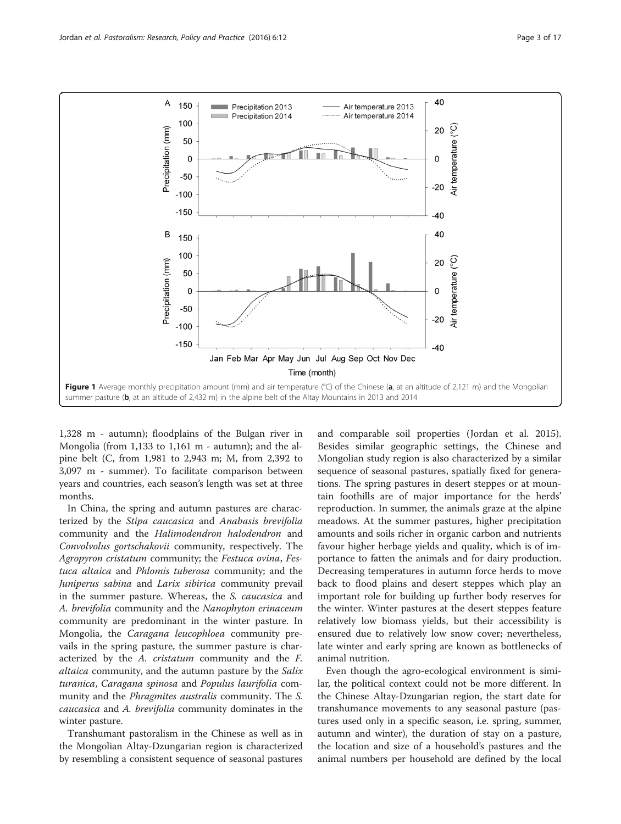<span id="page-2-0"></span>

1,328 m - autumn); floodplains of the Bulgan river in Mongolia (from 1,133 to 1,161 m - autumn); and the alpine belt (C, from 1,981 to 2,943 m; M, from 2,392 to 3,097 m - summer). To facilitate comparison between years and countries, each season's length was set at three months.

In China, the spring and autumn pastures are characterized by the Stipa caucasica and Anabasis brevifolia community and the Halimodendron halodendron and Convolvolus gortschakovii community, respectively. The Agropyron cristatum community; the Festuca ovina, Festuca altaica and Phlomis tuberosa community; and the Juniperus sabina and Larix sibirica community prevail in the summer pasture. Whereas, the S. caucasica and A. brevifolia community and the Nanophyton erinaceum community are predominant in the winter pasture. In Mongolia, the Caragana leucophloea community prevails in the spring pasture, the summer pasture is characterized by the A. cristatum community and the F. altaica community, and the autumn pasture by the Salix turanica, Caragana spinosa and Populus laurifolia community and the Phragmites australis community. The S. caucasica and A. brevifolia community dominates in the winter pasture.

Transhumant pastoralism in the Chinese as well as in the Mongolian Altay-Dzungarian region is characterized by resembling a consistent sequence of seasonal pastures

and comparable soil properties (Jordan et al. [2015](#page-14-0)). Besides similar geographic settings, the Chinese and Mongolian study region is also characterized by a similar sequence of seasonal pastures, spatially fixed for generations. The spring pastures in desert steppes or at mountain foothills are of major importance for the herds' reproduction. In summer, the animals graze at the alpine meadows. At the summer pastures, higher precipitation amounts and soils richer in organic carbon and nutrients favour higher herbage yields and quality, which is of importance to fatten the animals and for dairy production. Decreasing temperatures in autumn force herds to move back to flood plains and desert steppes which play an important role for building up further body reserves for the winter. Winter pastures at the desert steppes feature relatively low biomass yields, but their accessibility is ensured due to relatively low snow cover; nevertheless, late winter and early spring are known as bottlenecks of animal nutrition.

Even though the agro-ecological environment is similar, the political context could not be more different. In the Chinese Altay-Dzungarian region, the start date for transhumance movements to any seasonal pasture (pastures used only in a specific season, i.e. spring, summer, autumn and winter), the duration of stay on a pasture, the location and size of a household's pastures and the animal numbers per household are defined by the local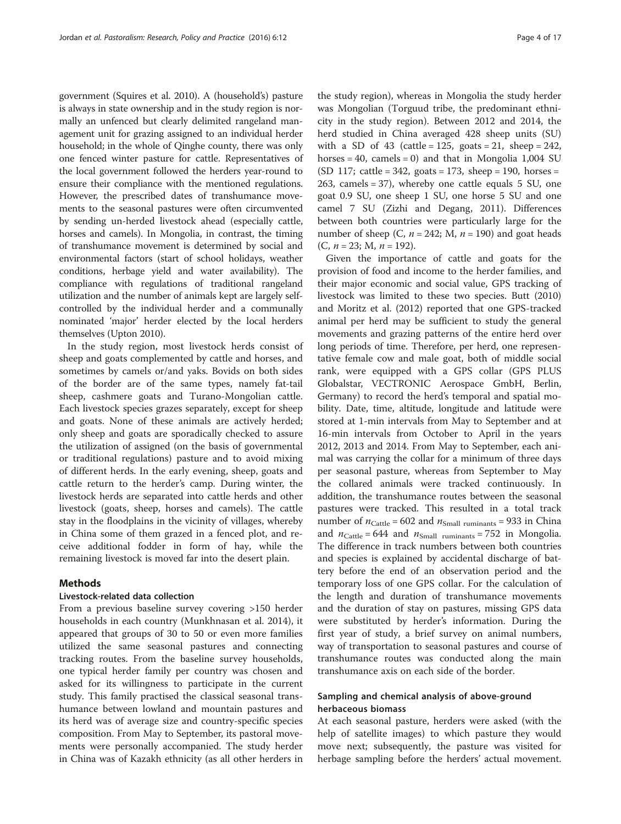government (Squires et al. [2010](#page-16-0)). A (household's) pasture is always in state ownership and in the study region is normally an unfenced but clearly delimited rangeland management unit for grazing assigned to an individual herder household; in the whole of Qinghe county, there was only one fenced winter pasture for cattle. Representatives of the local government followed the herders year-round to ensure their compliance with the mentioned regulations. However, the prescribed dates of transhumance movements to the seasonal pastures were often circumvented by sending un-herded livestock ahead (especially cattle, horses and camels). In Mongolia, in contrast, the timing of transhumance movement is determined by social and environmental factors (start of school holidays, weather conditions, herbage yield and water availability). The compliance with regulations of traditional rangeland utilization and the number of animals kept are largely selfcontrolled by the individual herder and a communally nominated 'major' herder elected by the local herders themselves (Upton [2010\)](#page-16-0).

In the study region, most livestock herds consist of sheep and goats complemented by cattle and horses, and sometimes by camels or/and yaks. Bovids on both sides of the border are of the same types, namely fat-tail sheep, cashmere goats and Turano-Mongolian cattle. Each livestock species grazes separately, except for sheep and goats. None of these animals are actively herded; only sheep and goats are sporadically checked to assure the utilization of assigned (on the basis of governmental or traditional regulations) pasture and to avoid mixing of different herds. In the early evening, sheep, goats and cattle return to the herder's camp. During winter, the livestock herds are separated into cattle herds and other livestock (goats, sheep, horses and camels). The cattle stay in the floodplains in the vicinity of villages, whereby in China some of them grazed in a fenced plot, and receive additional fodder in form of hay, while the remaining livestock is moved far into the desert plain.

#### Methods

#### Livestock-related data collection

From a previous baseline survey covering >150 herder households in each country (Munkhnasan et al. [2014](#page-15-0)), it appeared that groups of 30 to 50 or even more families utilized the same seasonal pastures and connecting tracking routes. From the baseline survey households, one typical herder family per country was chosen and asked for its willingness to participate in the current study. This family practised the classical seasonal transhumance between lowland and mountain pastures and its herd was of average size and country-specific species composition. From May to September, its pastoral movements were personally accompanied. The study herder in China was of Kazakh ethnicity (as all other herders in

the study region), whereas in Mongolia the study herder was Mongolian (Torguud tribe, the predominant ethnicity in the study region). Between 2012 and 2014, the herd studied in China averaged 428 sheep units (SU) with a SD of 43 (cattle =  $125$ , goats =  $21$ , sheep =  $242$ , horses = 40, camels = 0) and that in Mongolia 1,004 SU (SD 117; cattle =  $342$ , goats =  $173$ , sheep =  $190$ , horses = 263, camels  $= 37$ ), whereby one cattle equals  $5 \text{ SU}$ , one goat 0.9 SU, one sheep 1 SU, one horse 5 SU and one camel 7 SU (Zizhi and Degang, [2011](#page-16-0)). Differences between both countries were particularly large for the number of sheep (C,  $n = 242$ ; M,  $n = 190$ ) and goat heads  $(C, n = 23; M, n = 192)$ .

Given the importance of cattle and goats for the provision of food and income to the herder families, and their major economic and social value, GPS tracking of livestock was limited to these two species. Butt ([2010](#page-14-0)) and Moritz et al. ([2012](#page-15-0)) reported that one GPS-tracked animal per herd may be sufficient to study the general movements and grazing patterns of the entire herd over long periods of time. Therefore, per herd, one representative female cow and male goat, both of middle social rank, were equipped with a GPS collar (GPS PLUS Globalstar, VECTRONIC Aerospace GmbH, Berlin, Germany) to record the herd's temporal and spatial mobility. Date, time, altitude, longitude and latitude were stored at 1-min intervals from May to September and at 16-min intervals from October to April in the years 2012, 2013 and 2014. From May to September, each animal was carrying the collar for a minimum of three days per seasonal pasture, whereas from September to May the collared animals were tracked continuously. In addition, the transhumance routes between the seasonal pastures were tracked. This resulted in a total track number of  $n_{\text{Cattle}} = 602$  and  $n_{\text{Small ruminants}} = 933$  in China and  $n_{\text{Cattle}} = 644$  and  $n_{\text{Small ruminants}} = 752$  in Mongolia. The difference in track numbers between both countries and species is explained by accidental discharge of battery before the end of an observation period and the temporary loss of one GPS collar. For the calculation of the length and duration of transhumance movements and the duration of stay on pastures, missing GPS data were substituted by herder's information. During the first year of study, a brief survey on animal numbers, way of transportation to seasonal pastures and course of transhumance routes was conducted along the main transhumance axis on each side of the border.

#### Sampling and chemical analysis of above-ground herbaceous biomass

At each seasonal pasture, herders were asked (with the help of satellite images) to which pasture they would move next; subsequently, the pasture was visited for herbage sampling before the herders' actual movement.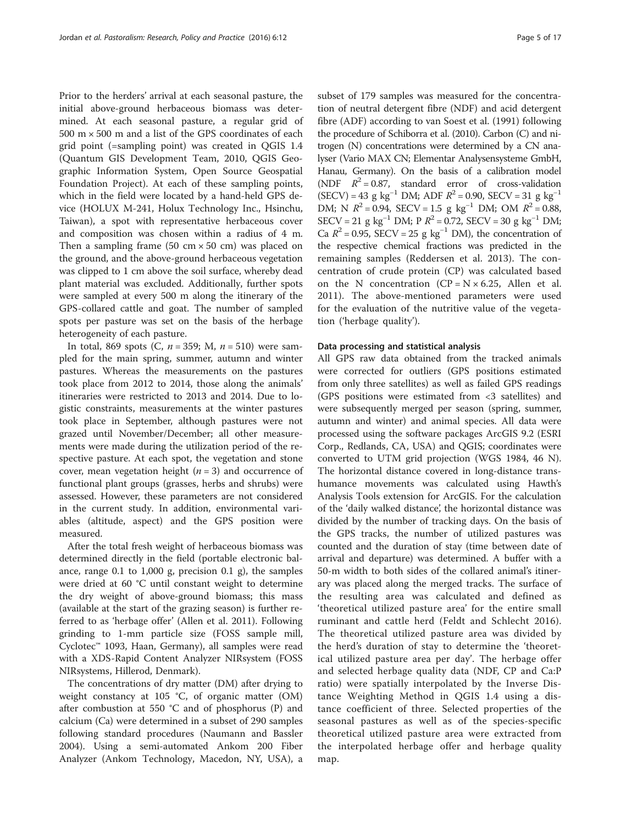Prior to the herders' arrival at each seasonal pasture, the initial above-ground herbaceous biomass was determined. At each seasonal pasture, a regular grid of  $500 \text{ m} \times 500 \text{ m}$  and a list of the GPS coordinates of each grid point (=sampling point) was created in QGIS 1.4 (Quantum GIS Development Team, 2010, QGIS Geographic Information System, Open Source Geospatial Foundation Project). At each of these sampling points, which in the field were located by a hand-held GPS device (HOLUX M-241, Holux Technology Inc., Hsinchu, Taiwan), a spot with representative herbaceous cover and composition was chosen within a radius of 4 m. Then a sampling frame  $(50 \text{ cm} \times 50 \text{ cm})$  was placed on the ground, and the above-ground herbaceous vegetation was clipped to 1 cm above the soil surface, whereby dead plant material was excluded. Additionally, further spots were sampled at every 500 m along the itinerary of the GPS-collared cattle and goat. The number of sampled spots per pasture was set on the basis of the herbage heterogeneity of each pasture.

In total, 869 spots (C,  $n = 359$ ; M,  $n = 510$ ) were sampled for the main spring, summer, autumn and winter pastures. Whereas the measurements on the pastures took place from 2012 to 2014, those along the animals' itineraries were restricted to 2013 and 2014. Due to logistic constraints, measurements at the winter pastures took place in September, although pastures were not grazed until November/December; all other measurements were made during the utilization period of the respective pasture. At each spot, the vegetation and stone cover, mean vegetation height  $(n = 3)$  and occurrence of functional plant groups (grasses, herbs and shrubs) were assessed. However, these parameters are not considered in the current study. In addition, environmental variables (altitude, aspect) and the GPS position were measured.

After the total fresh weight of herbaceous biomass was determined directly in the field (portable electronic balance, range 0.1 to 1,000 g, precision 0.1 g), the samples were dried at 60 °C until constant weight to determine the dry weight of above-ground biomass; this mass (available at the start of the grazing season) is further referred to as 'herbage offer' (Allen et al. [2011\)](#page-14-0). Following grinding to 1-mm particle size (FOSS sample mill, Cyclotec™ 1093, Haan, Germany), all samples were read with a XDS-Rapid Content Analyzer NIRsystem (FOSS NIRsystems, Hillerod, Denmark).

The concentrations of dry matter (DM) after drying to weight constancy at 105 °C, of organic matter (OM) after combustion at 550 °C and of phosphorus (P) and calcium (Ca) were determined in a subset of 290 samples following standard procedures (Naumann and Bassler [2004](#page-15-0)). Using a semi-automated Ankom 200 Fiber Analyzer (Ankom Technology, Macedon, NY, USA), a

subset of 179 samples was measured for the concentration of neutral detergent fibre (NDF) and acid detergent fibre (ADF) according to van Soest et al. ([1991](#page-16-0)) following the procedure of Schiborra et al. ([2010\)](#page-15-0). Carbon (C) and nitrogen (N) concentrations were determined by a CN analyser (Vario MAX CN; Elementar Analysensysteme GmbH, Hanau, Germany). On the basis of a calibration model (NDF  $R^2 = 0.87$ , standard error of cross-validation  $(SECV) = 43$  g kg<sup>-1</sup> DM; ADF  $R^2 = 0.90$ , SECV = 31 g kg<sup>-1</sup> DM; N  $R^2 = 0.94$ , SECV = 1.5 g kg<sup>-1</sup> DM; OM  $R^2 = 0.88$ , SECV = 21 g kg<sup>-1</sup> DM; P  $R^2$  = 0.72, SECV = 30 g kg<sup>-1</sup> DM; Ca  $R^2$  = 0.95, SECV = 25 g kg<sup>-1</sup> DM), the concentration of the respective chemical fractions was predicted in the remaining samples (Reddersen et al. [2013\)](#page-15-0). The concentration of crude protein (CP) was calculated based on the N concentration  $(CP = N \times 6.25)$ , Allen et al. [2011\)](#page-14-0). The above-mentioned parameters were used for the evaluation of the nutritive value of the vegetation ('herbage quality').

#### Data processing and statistical analysis

All GPS raw data obtained from the tracked animals were corrected for outliers (GPS positions estimated from only three satellites) as well as failed GPS readings (GPS positions were estimated from <3 satellites) and were subsequently merged per season (spring, summer, autumn and winter) and animal species. All data were processed using the software packages ArcGIS 9.2 (ESRI Corp., Redlands, CA, USA) and QGIS; coordinates were converted to UTM grid projection (WGS 1984, 46 N). The horizontal distance covered in long-distance transhumance movements was calculated using Hawth's Analysis Tools extension for ArcGIS. For the calculation of the 'daily walked distance', the horizontal distance was divided by the number of tracking days. On the basis of the GPS tracks, the number of utilized pastures was counted and the duration of stay (time between date of arrival and departure) was determined. A buffer with a 50-m width to both sides of the collared animal's itinerary was placed along the merged tracks. The surface of the resulting area was calculated and defined as 'theoretical utilized pasture area' for the entire small ruminant and cattle herd (Feldt and Schlecht [2016](#page-14-0)). The theoretical utilized pasture area was divided by the herd's duration of stay to determine the 'theoretical utilized pasture area per day'. The herbage offer and selected herbage quality data (NDF, CP and Ca:P ratio) were spatially interpolated by the Inverse Distance Weighting Method in QGIS 1.4 using a distance coefficient of three. Selected properties of the seasonal pastures as well as of the species-specific theoretical utilized pasture area were extracted from the interpolated herbage offer and herbage quality map.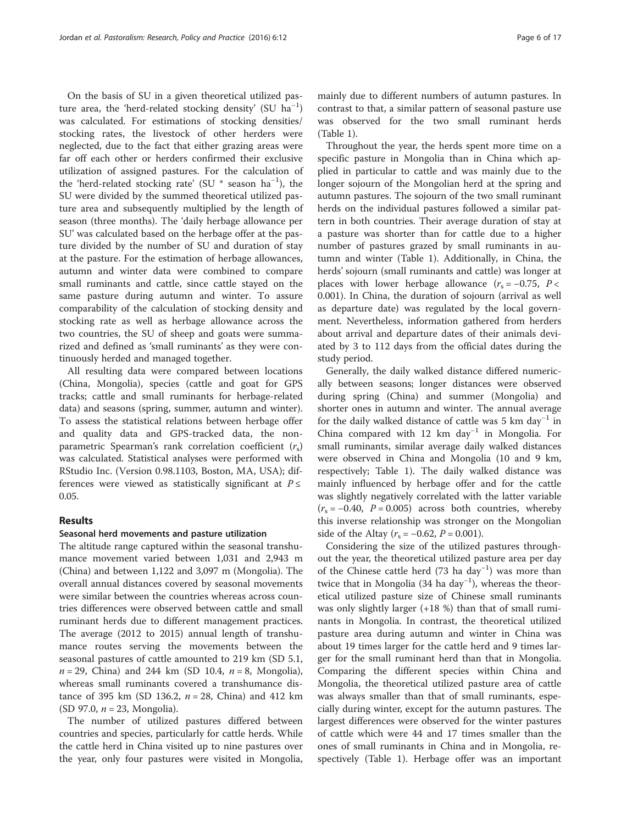On the basis of SU in a given theoretical utilized pasture area, the 'herd-related stocking density' (SU ha<sup>-1</sup>) was calculated. For estimations of stocking densities/ stocking rates, the livestock of other herders were neglected, due to the fact that either grazing areas were far off each other or herders confirmed their exclusive utilization of assigned pastures. For the calculation of the 'herd-related stocking rate' (SU \* season ha−<sup>1</sup> ), the SU were divided by the summed theoretical utilized pasture area and subsequently multiplied by the length of season (three months). The 'daily herbage allowance per SU' was calculated based on the herbage offer at the pasture divided by the number of SU and duration of stay at the pasture. For the estimation of herbage allowances, autumn and winter data were combined to compare small ruminants and cattle, since cattle stayed on the same pasture during autumn and winter. To assure comparability of the calculation of stocking density and stocking rate as well as herbage allowance across the two countries, the SU of sheep and goats were summarized and defined as 'small ruminants' as they were continuously herded and managed together.

All resulting data were compared between locations (China, Mongolia), species (cattle and goat for GPS tracks; cattle and small ruminants for herbage-related data) and seasons (spring, summer, autumn and winter). To assess the statistical relations between herbage offer and quality data and GPS-tracked data, the nonparametric Spearman's rank correlation coefficient  $(r<sub>s</sub>)$ was calculated. Statistical analyses were performed with RStudio Inc. (Version 0.98.1103, Boston, MA, USA); differences were viewed as statistically significant at  $P \leq$ 0.05.

### Results

#### Seasonal herd movements and pasture utilization

The altitude range captured within the seasonal transhumance movement varied between 1,031 and 2,943 m (China) and between 1,122 and 3,097 m (Mongolia). The overall annual distances covered by seasonal movements were similar between the countries whereas across countries differences were observed between cattle and small ruminant herds due to different management practices. The average (2012 to 2015) annual length of transhumance routes serving the movements between the seasonal pastures of cattle amounted to 219 km (SD 5.1,  $n = 29$ , China) and 244 km (SD 10.4,  $n = 8$ , Mongolia), whereas small ruminants covered a transhumance distance of 395 km (SD 136.2,  $n = 28$ , China) and 412 km (SD 97.0,  $n = 23$ , Mongolia).

The number of utilized pastures differed between countries and species, particularly for cattle herds. While the cattle herd in China visited up to nine pastures over the year, only four pastures were visited in Mongolia,

mainly due to different numbers of autumn pastures. In contrast to that, a similar pattern of seasonal pasture use was observed for the two small ruminant herds (Table [1\)](#page-6-0).

Throughout the year, the herds spent more time on a specific pasture in Mongolia than in China which applied in particular to cattle and was mainly due to the longer sojourn of the Mongolian herd at the spring and autumn pastures. The sojourn of the two small ruminant herds on the individual pastures followed a similar pattern in both countries. Their average duration of stay at a pasture was shorter than for cattle due to a higher number of pastures grazed by small ruminants in autumn and winter (Table [1\)](#page-6-0). Additionally, in China, the herds' sojourn (small ruminants and cattle) was longer at places with lower herbage allowance  $(r_s = -0.75, P <$ 0.001). In China, the duration of sojourn (arrival as well as departure date) was regulated by the local government. Nevertheless, information gathered from herders about arrival and departure dates of their animals deviated by 3 to 112 days from the official dates during the study period.

Generally, the daily walked distance differed numerically between seasons; longer distances were observed during spring (China) and summer (Mongolia) and shorter ones in autumn and winter. The annual average for the daily walked distance of cattle was 5 km day<sup>-1</sup> in China compared with 12 km day<sup>-1</sup> in Mongolia. For small ruminants, similar average daily walked distances were observed in China and Mongolia (10 and 9 km, respectively; Table [1\)](#page-6-0). The daily walked distance was mainly influenced by herbage offer and for the cattle was slightly negatively correlated with the latter variable  $(r<sub>s</sub> = -0.40, P = 0.005)$  across both countries, whereby this inverse relationship was stronger on the Mongolian side of the Altay ( $r_s = -0.62$ ,  $P = 0.001$ ).

Considering the size of the utilized pastures throughout the year, the theoretical utilized pasture area per day of the Chinese cattle herd (73 ha day−<sup>1</sup> ) was more than twice that in Mongolia (34 ha day<sup>-1</sup>), whereas the theoretical utilized pasture size of Chinese small ruminants was only slightly larger (+18 %) than that of small ruminants in Mongolia. In contrast, the theoretical utilized pasture area during autumn and winter in China was about 19 times larger for the cattle herd and 9 times larger for the small ruminant herd than that in Mongolia. Comparing the different species within China and Mongolia, the theoretical utilized pasture area of cattle was always smaller than that of small ruminants, especially during winter, except for the autumn pastures. The largest differences were observed for the winter pastures of cattle which were 44 and 17 times smaller than the ones of small ruminants in China and in Mongolia, respectively (Table [1\)](#page-6-0). Herbage offer was an important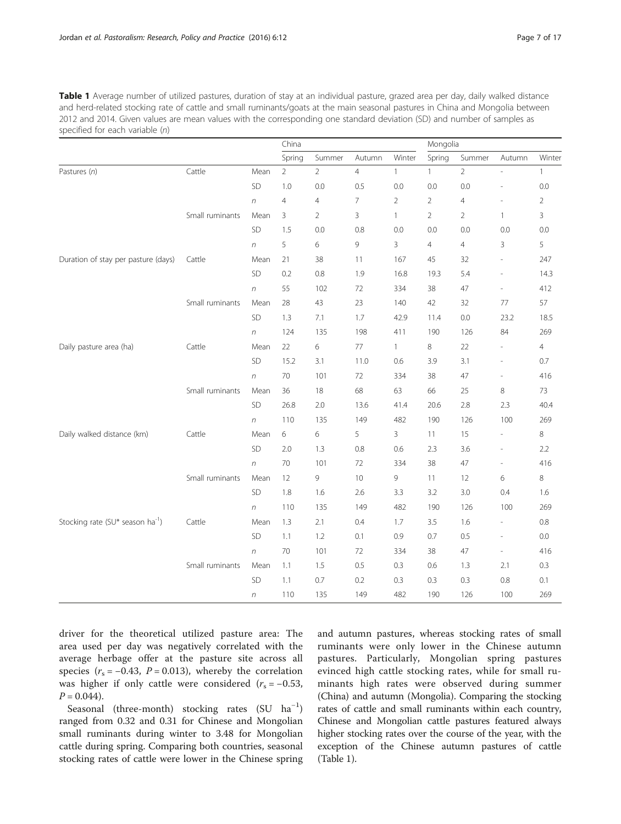<span id="page-6-0"></span>Table 1 Average number of utilized pastures, duration of stay at an individual pasture, grazed area per day, daily walked distance and herd-related stocking rate of cattle and small ruminants/goats at the main seasonal pastures in China and Mongolia between 2012 and 2014. Given values are mean values with the corresponding one standard deviation (SD) and number of samples as specified for each variable (n)

|                                              |                 |                  | China          |                |                |                | Mongolia       |                |                          |                |
|----------------------------------------------|-----------------|------------------|----------------|----------------|----------------|----------------|----------------|----------------|--------------------------|----------------|
|                                              |                 |                  | Spring         | Summer         | Autumn         | Winter         | Spring         | Summer         | Autumn                   | Winter         |
| Pastures (n)                                 | Cattle          | Mean             | $\overline{2}$ | $\overline{2}$ | $\overline{4}$ | $\mathbf{1}$   | 1              | $\overline{2}$ |                          | $\mathbf{1}$   |
|                                              |                 | SD               | 1.0            | 0.0            | 0.5            | 0.0            | 0.0            | 0.0            | L,                       | 0.0            |
|                                              |                 | $\sqrt{n}$       | $\overline{4}$ | $\overline{4}$ | $\overline{7}$ | $\overline{2}$ | $\overline{2}$ | $\overline{4}$ | $\frac{1}{2}$            | $\overline{2}$ |
|                                              | Small ruminants | Mean             | 3              | $\overline{2}$ | 3              | $\mathbf{1}$   | $\overline{2}$ | $\overline{2}$ | 1                        | 3              |
|                                              |                 | SD               | 1.5            | 0.0            | 0.8            | 0.0            | 0.0            | 0.0            | 0.0                      | 0.0            |
|                                              |                 | $\sqrt{n}$       | 5              | 6              | 9              | 3              | $\overline{4}$ | $\overline{4}$ | 3                        | 5              |
| Duration of stay per pasture (days)          | Cattle          | Mean             | 21             | 38             | 11             | 167            | 45             | 32             | $\overline{\phantom{a}}$ | 247            |
|                                              |                 | SD               | 0.2            | $0.8\,$        | 1.9            | 16.8           | 19.3           | 5.4            | $\frac{1}{2}$            | 14.3           |
|                                              |                 | $\sqrt{n}$       | 55             | 102            | 72             | 334            | 38             | 47             | $\overline{\phantom{0}}$ | 412            |
|                                              | Small ruminants | Mean             | 28             | 43             | 23             | 140            | 42             | 32             | 77                       | 57             |
|                                              |                 | SD               | 1.3            | 7.1            | 1.7            | 42.9           | 11.4           | 0.0            | 23.2                     | 18.5           |
|                                              |                 | $\sqrt{n}$       | 124            | 135            | 198            | 411            | 190            | 126            | 84                       | 269            |
| Daily pasture area (ha)                      | Cattle          | Mean             | 22             | 6              | 77             | $\mathbf{1}$   | 8              | 22             | ۰                        | 4              |
|                                              |                 | SD               | 15.2           | 3.1            | 11.0           | 0.6            | 3.9            | 3.1            | $\overline{\phantom{m}}$ | 0.7            |
|                                              |                 | $\sqrt{n}$       | 70             | 101            | 72             | 334            | 38             | 47             | $\overline{\phantom{0}}$ | 416            |
|                                              | Small ruminants | Mean             | 36             | 18             | 68             | 63             | 66             | 25             | 8                        | 73             |
|                                              |                 | SD               | 26.8           | $2.0\,$        | 13.6           | 41.4           | 20.6           | 2.8            | 2.3                      | 40.4           |
|                                              |                 | $\sqrt{n}$       | 110            | 135            | 149            | 482            | 190            | 126            | 100                      | 269            |
| Daily walked distance (km)                   | Cattle          | Mean             | 6              | 6              | 5              | 3              | 11             | 15             |                          | 8              |
|                                              |                 | SD               | 2.0            | 1.3            | 0.8            | 0.6            | 2.3            | 3.6            | $\overline{\phantom{0}}$ | 2.2            |
|                                              |                 | $\sqrt{n}$       | 70             | 101            | 72             | 334            | 38             | 47             | $\overline{\phantom{0}}$ | 416            |
|                                              | Small ruminants | Mean             | 12             | 9              | 10             | 9              | 11             | 12             | 6                        | 8              |
|                                              |                 | SD               | 1.8            | 1.6            | 2.6            | 3.3            | 3.2            | 3.0            | 0.4                      | 1.6            |
|                                              |                 | $\sqrt{n}$       | 110            | 135            | 149            | 482            | 190            | 126            | 100                      | 269            |
| Stocking rate (SU* season ha <sup>-1</sup> ) | Cattle          | Mean             | 1.3            | 2.1            | 0.4            | 1.7            | 3.5            | 1.6            |                          | 0.8            |
|                                              |                 | SD               | 1.1            | 1.2            | 0.1            | 0.9            | 0.7            | 0.5            | $\overline{a}$           | 0.0            |
|                                              |                 | $\sqrt{n}$       | 70             | 101            | 72             | 334            | 38             | 47             | $\overline{\phantom{a}}$ | 416            |
|                                              | Small ruminants | Mean             | 1.1            | 1.5            | 0.5            | 0.3            | 0.6            | 1.3            | 2.1                      | 0.3            |
|                                              |                 | SD               | 1.1            | 0.7            | 0.2            | 0.3            | 0.3            | 0.3            | 0.8                      | 0.1            |
|                                              |                 | $\boldsymbol{n}$ | 110            | 135            | 149            | 482            | 190            | 126            | 100                      | 269            |

driver for the theoretical utilized pasture area: The area used per day was negatively correlated with the average herbage offer at the pasture site across all species ( $r_s = -0.43$ ,  $P = 0.013$ ), whereby the correlation was higher if only cattle were considered  $(r<sub>s</sub> = -0.53,$  $P = 0.044$ .

Seasonal (three-month) stocking rates (SU ha<sup>-1</sup>) ranged from 0.32 and 0.31 for Chinese and Mongolian small ruminants during winter to 3.48 for Mongolian cattle during spring. Comparing both countries, seasonal stocking rates of cattle were lower in the Chinese spring and autumn pastures, whereas stocking rates of small ruminants were only lower in the Chinese autumn pastures. Particularly, Mongolian spring pastures evinced high cattle stocking rates, while for small ruminants high rates were observed during summer (China) and autumn (Mongolia). Comparing the stocking rates of cattle and small ruminants within each country, Chinese and Mongolian cattle pastures featured always higher stocking rates over the course of the year, with the exception of the Chinese autumn pastures of cattle (Table 1).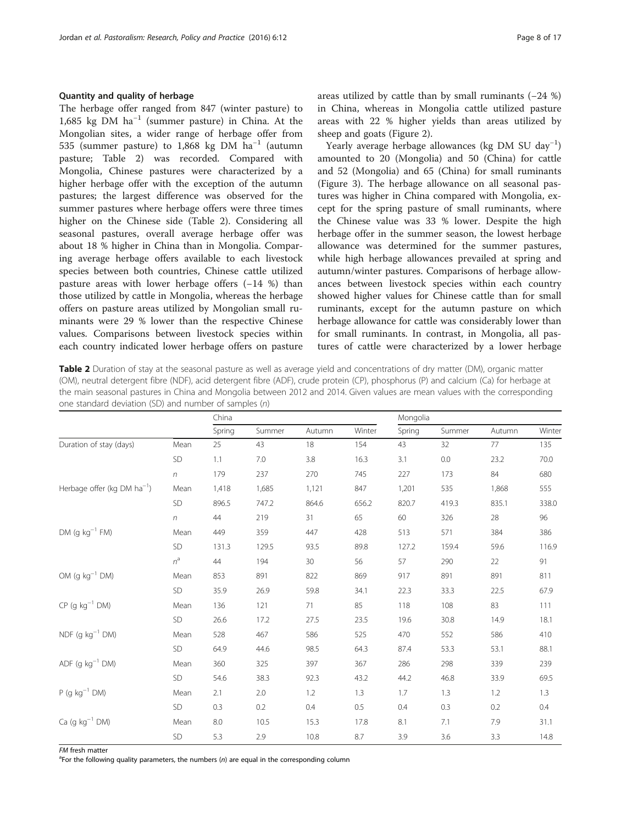#### <span id="page-7-0"></span>Quantity and quality of herbage

The herbage offer ranged from 847 (winter pasture) to 1,685 kg DM ha−<sup>1</sup> (summer pasture) in China. At the Mongolian sites, a wider range of herbage offer from 535 (summer pasture) to 1,868 kg DM ha−<sup>1</sup> (autumn pasture; Table 2) was recorded. Compared with Mongolia, Chinese pastures were characterized by a higher herbage offer with the exception of the autumn pastures; the largest difference was observed for the summer pastures where herbage offers were three times higher on the Chinese side (Table 2). Considering all seasonal pastures, overall average herbage offer was about 18 % higher in China than in Mongolia. Comparing average herbage offers available to each livestock species between both countries, Chinese cattle utilized pasture areas with lower herbage offers (−14 %) than those utilized by cattle in Mongolia, whereas the herbage offers on pasture areas utilized by Mongolian small ruminants were 29 % lower than the respective Chinese values. Comparisons between livestock species within each country indicated lower herbage offers on pasture

areas utilized by cattle than by small ruminants (−24 %) in China, whereas in Mongolia cattle utilized pasture areas with 22 % higher yields than areas utilized by sheep and goats (Figure [2\)](#page-8-0).

Yearly average herbage allowances (kg DM SU day−<sup>1</sup> ) amounted to 20 (Mongolia) and 50 (China) for cattle and 52 (Mongolia) and 65 (China) for small ruminants (Figure [3\)](#page-9-0). The herbage allowance on all seasonal pastures was higher in China compared with Mongolia, except for the spring pasture of small ruminants, where the Chinese value was 33 % lower. Despite the high herbage offer in the summer season, the lowest herbage allowance was determined for the summer pastures, while high herbage allowances prevailed at spring and autumn/winter pastures. Comparisons of herbage allowances between livestock species within each country showed higher values for Chinese cattle than for small ruminants, except for the autumn pasture on which herbage allowance for cattle was considerably lower than for small ruminants. In contrast, in Mongolia, all pastures of cattle were characterized by a lower herbage

Table 2 Duration of stay at the seasonal pasture as well as average yield and concentrations of dry matter (DM), organic matter (OM), neutral detergent fibre (NDF), acid detergent fibre (ADF), crude protein (CP), phosphorus (P) and calcium (Ca) for herbage at the main seasonal pastures in China and Mongolia between 2012 and 2014. Given values are mean values with the corresponding one standard deviation (SD) and number of samples (n)

|                                         |            | China   |        |        |        | Mongolia |        |        |        |  |
|-----------------------------------------|------------|---------|--------|--------|--------|----------|--------|--------|--------|--|
|                                         |            | Spring  | Summer | Autumn | Winter | Spring   | Summer | Autumn | Winter |  |
| Duration of stay (days)                 | Mean       | 25      | 43     | 18     | 154    | 43       | 32     | 77     | 135    |  |
|                                         | SD         | 1.1     | 7.0    | 3.8    | 16.3   | 3.1      | 0.0    | 23.2   | 70.0   |  |
|                                         | $\sqrt{n}$ | 179     | 237    | 270    | 745    | 227      | 173    | 84     | 680    |  |
| Herbage offer (kg DM ha <sup>-1</sup> ) | Mean       | 1,418   | 1,685  | 1,121  | 847    | 1,201    | 535    | 1,868  | 555    |  |
|                                         | SD         | 896.5   | 747.2  | 864.6  | 656.2  | 820.7    | 419.3  | 835.1  | 338.0  |  |
|                                         | $\sqrt{n}$ | 44      | 219    | 31     | 65     | 60       | 326    | 28     | 96     |  |
| $DM (g kg-1 FM)$                        | Mean       | 449     | 359    | 447    | 428    | 513      | 571    | 384    | 386    |  |
|                                         | SD         | 131.3   | 129.5  | 93.5   | 89.8   | 127.2    | 159.4  | 59.6   | 116.9  |  |
|                                         | $n^a$      | 44      | 194    | 30     | 56     | 57       | 290    | 22     | 91     |  |
| OM (g $kg^{-1}$ DM)                     | Mean       | 853     | 891    | 822    | 869    | 917      | 891    | 891    | 811    |  |
|                                         | SD         | 35.9    | 26.9   | 59.8   | 34.1   | 22.3     | 33.3   | 22.5   | 67.9   |  |
| $CP$ (g $kg^{-1}$ DM)                   | Mean       | 136     | 121    | 71     | 85     | 118      | 108    | 83     | 111    |  |
|                                         | SD         | 26.6    | 17.2   | 27.5   | 23.5   | 19.6     | 30.8   | 14.9   | 18.1   |  |
| NDF (g $kg^{-1}$ DM)                    | Mean       | 528     | 467    | 586    | 525    | 470      | 552    | 586    | 410    |  |
|                                         | SD         | 64.9    | 44.6   | 98.5   | 64.3   | 87.4     | 53.3   | 53.1   | 88.1   |  |
| ADF (g $kg^{-1}$ DM)                    | Mean       | 360     | 325    | 397    | 367    | 286      | 298    | 339    | 239    |  |
|                                         | SD         | 54.6    | 38.3   | 92.3   | 43.2   | 44.2     | 46.8   | 33.9   | 69.5   |  |
| $P$ (g kg $^{-1}$ DM)                   | Mean       | 2.1     | 2.0    | 1.2    | 1.3    | 1.7      | 1.3    | 1.2    | 1.3    |  |
|                                         | SD         | 0.3     | 0.2    | 0.4    | 0.5    | 0.4      | 0.3    | 0.2    | 0.4    |  |
| Ca (g $kg^{-1}$ DM)                     | Mean       | $8.0\,$ | 10.5   | 15.3   | 17.8   | 8.1      | 7.1    | 7.9    | 31.1   |  |
|                                         | SD         | 5.3     | 2.9    | 10.8   | 8.7    | 3.9      | 3.6    | 3.3    | 14.8   |  |

FM fresh matter

 $P$ For the following quality parameters, the numbers (n) are equal in the corresponding column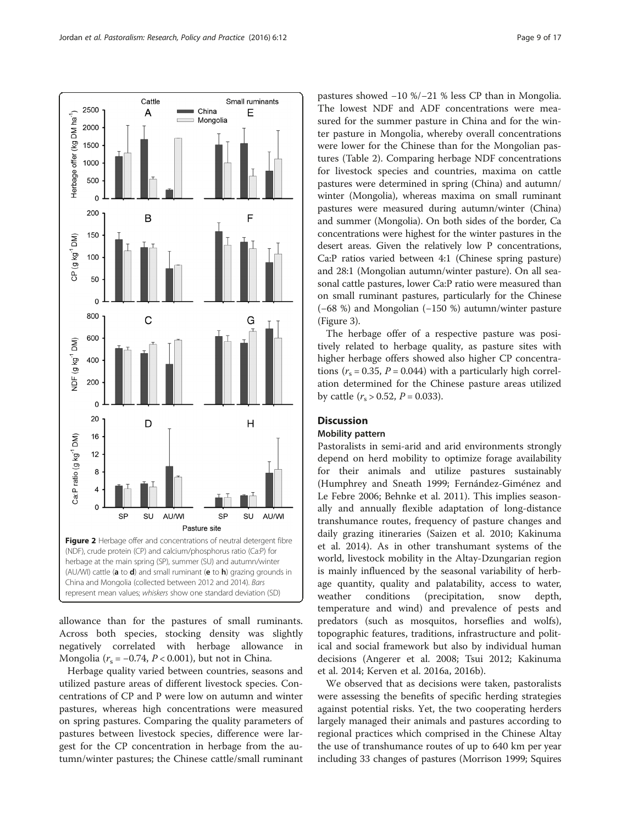<span id="page-8-0"></span>

allowance than for the pastures of small ruminants. Across both species, stocking density was slightly negatively correlated with herbage allowance in Mongolia ( $r_s = -0.74$ ,  $P < 0.001$ ), but not in China.

Herbage quality varied between countries, seasons and utilized pasture areas of different livestock species. Concentrations of CP and P were low on autumn and winter pastures, whereas high concentrations were measured on spring pastures. Comparing the quality parameters of pastures between livestock species, difference were largest for the CP concentration in herbage from the autumn/winter pastures; the Chinese cattle/small ruminant

pastures showed −10 %/−21 % less CP than in Mongolia. The lowest NDF and ADF concentrations were measured for the summer pasture in China and for the winter pasture in Mongolia, whereby overall concentrations were lower for the Chinese than for the Mongolian pastures (Table [2](#page-7-0)). Comparing herbage NDF concentrations for livestock species and countries, maxima on cattle pastures were determined in spring (China) and autumn/ winter (Mongolia), whereas maxima on small ruminant pastures were measured during autumn/winter (China) and summer (Mongolia). On both sides of the border, Ca concentrations were highest for the winter pastures in the desert areas. Given the relatively low P concentrations, Ca:P ratios varied between 4:1 (Chinese spring pasture) and 28:1 (Mongolian autumn/winter pasture). On all seasonal cattle pastures, lower Ca:P ratio were measured than on small ruminant pastures, particularly for the Chinese (−68 %) and Mongolian (−150 %) autumn/winter pasture (Figure [3](#page-9-0)).

The herbage offer of a respective pasture was positively related to herbage quality, as pasture sites with higher herbage offers showed also higher CP concentrations ( $r_s = 0.35$ ,  $P = 0.044$ ) with a particularly high correlation determined for the Chinese pasture areas utilized by cattle  $(r_s > 0.52, P = 0.033)$ .

#### **Discussion**

#### Mobility pattern

Pastoralists in semi-arid and arid environments strongly depend on herd mobility to optimize forage availability for their animals and utilize pastures sustainably (Humphrey and Sneath [1999](#page-14-0); Fernández-Giménez and Le Febre [2006;](#page-14-0) Behnke et al. [2011](#page-14-0)). This implies seasonally and annually flexible adaptation of long-distance transhumance routes, frequency of pasture changes and daily grazing itineraries (Saizen et al. [2010;](#page-15-0) Kakinuma et al. [2014](#page-15-0)). As in other transhumant systems of the world, livestock mobility in the Altay-Dzungarian region is mainly influenced by the seasonal variability of herbage quantity, quality and palatability, access to water, weather conditions (precipitation, snow depth, temperature and wind) and prevalence of pests and predators (such as mosquitos, horseflies and wolfs), topographic features, traditions, infrastructure and political and social framework but also by individual human decisions (Angerer et al. [2008](#page-14-0); Tsui [2012;](#page-16-0) Kakinuma et al. [2014;](#page-15-0) Kerven et al. [2016a, 2016b\)](#page-15-0).

We observed that as decisions were taken, pastoralists were assessing the benefits of specific herding strategies against potential risks. Yet, the two cooperating herders largely managed their animals and pastures according to regional practices which comprised in the Chinese Altay the use of transhumance routes of up to 640 km per year including 33 changes of pastures (Morrison [1999;](#page-15-0) Squires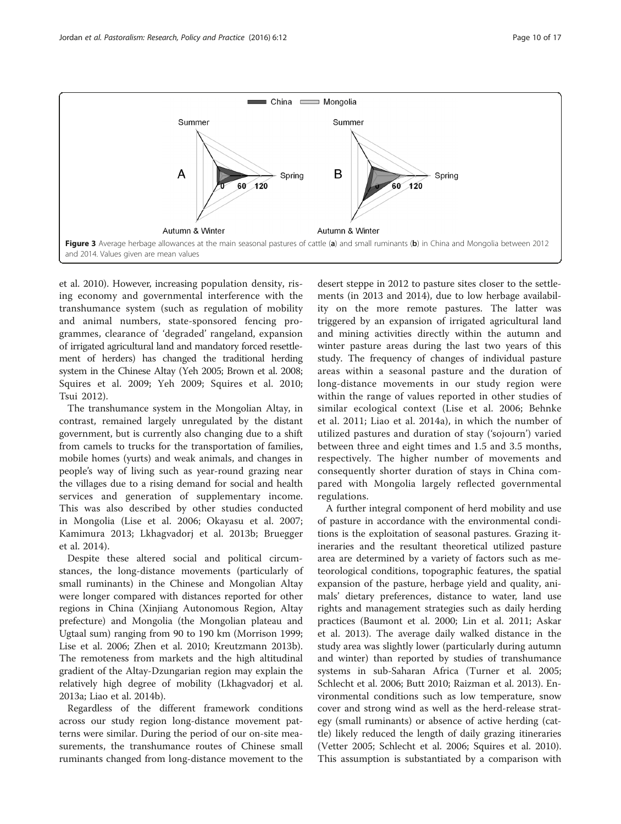<span id="page-9-0"></span>

et al. [2010](#page-16-0)). However, increasing population density, rising economy and governmental interference with the transhumance system (such as regulation of mobility and animal numbers, state-sponsored fencing programmes, clearance of 'degraded' rangeland, expansion of irrigated agricultural land and mandatory forced resettlement of herders) has changed the traditional herding system in the Chinese Altay (Yeh [2005](#page-16-0); Brown et al. [2008](#page-14-0); Squires et al. [2009;](#page-16-0) Yeh [2009;](#page-16-0) Squires et al. [2010](#page-16-0); Tsui [2012](#page-16-0)).

The transhumance system in the Mongolian Altay, in contrast, remained largely unregulated by the distant government, but is currently also changing due to a shift from camels to trucks for the transportation of families, mobile homes (yurts) and weak animals, and changes in people's way of living such as year-round grazing near the villages due to a rising demand for social and health services and generation of supplementary income. This was also described by other studies conducted in Mongolia (Lise et al. [2006](#page-15-0); Okayasu et al. [2007](#page-15-0); Kamimura [2013](#page-15-0); Lkhagvadorj et al. [2013b](#page-15-0); Bruegger et al. [2014\)](#page-14-0).

Despite these altered social and political circumstances, the long-distance movements (particularly of small ruminants) in the Chinese and Mongolian Altay were longer compared with distances reported for other regions in China (Xinjiang Autonomous Region, Altay prefecture) and Mongolia (the Mongolian plateau and Ugtaal sum) ranging from 90 to 190 km (Morrison [1999](#page-15-0); Lise et al. [2006](#page-15-0); Zhen et al. [2010;](#page-16-0) Kreutzmann [2013b](#page-15-0)). The remoteness from markets and the high altitudinal gradient of the Altay-Dzungarian region may explain the relatively high degree of mobility (Lkhagvadorj et al. [2013a;](#page-15-0) Liao et al. [2014b\)](#page-15-0).

Regardless of the different framework conditions across our study region long-distance movement patterns were similar. During the period of our on-site measurements, the transhumance routes of Chinese small ruminants changed from long-distance movement to the

desert steppe in 2012 to pasture sites closer to the settlements (in 2013 and 2014), due to low herbage availability on the more remote pastures. The latter was triggered by an expansion of irrigated agricultural land and mining activities directly within the autumn and winter pasture areas during the last two years of this study. The frequency of changes of individual pasture areas within a seasonal pasture and the duration of long-distance movements in our study region were within the range of values reported in other studies of similar ecological context (Lise et al. [2006](#page-15-0); Behnke et al. [2011;](#page-14-0) Liao et al. [2014a\)](#page-15-0), in which the number of utilized pastures and duration of stay ('sojourn') varied between three and eight times and 1.5 and 3.5 months, respectively. The higher number of movements and consequently shorter duration of stays in China compared with Mongolia largely reflected governmental regulations.

A further integral component of herd mobility and use of pasture in accordance with the environmental conditions is the exploitation of seasonal pastures. Grazing itineraries and the resultant theoretical utilized pasture area are determined by a variety of factors such as meteorological conditions, topographic features, the spatial expansion of the pasture, herbage yield and quality, animals' dietary preferences, distance to water, land use rights and management strategies such as daily herding practices (Baumont et al. [2000;](#page-14-0) Lin et al. [2011;](#page-15-0) Askar et al. [2013\)](#page-14-0). The average daily walked distance in the study area was slightly lower (particularly during autumn and winter) than reported by studies of transhumance systems in sub-Saharan Africa (Turner et al. [2005](#page-16-0); Schlecht et al. [2006;](#page-16-0) Butt [2010;](#page-14-0) Raizman et al. [2013\)](#page-15-0). Environmental conditions such as low temperature, snow cover and strong wind as well as the herd-release strategy (small ruminants) or absence of active herding (cattle) likely reduced the length of daily grazing itineraries (Vetter [2005;](#page-16-0) Schlecht et al. [2006;](#page-16-0) Squires et al. [2010](#page-16-0)). This assumption is substantiated by a comparison with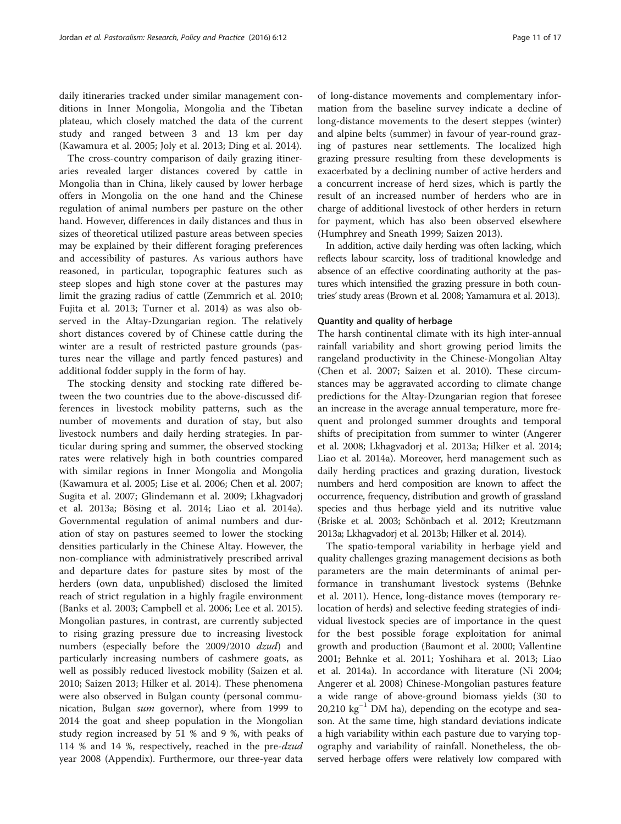daily itineraries tracked under similar management conditions in Inner Mongolia, Mongolia and the Tibetan plateau, which closely matched the data of the current study and ranged between 3 and 13 km per day (Kawamura et al. [2005;](#page-15-0) Joly et al. [2013](#page-14-0); Ding et al. [2014](#page-14-0)).

The cross-country comparison of daily grazing itineraries revealed larger distances covered by cattle in Mongolia than in China, likely caused by lower herbage offers in Mongolia on the one hand and the Chinese regulation of animal numbers per pasture on the other hand. However, differences in daily distances and thus in sizes of theoretical utilized pasture areas between species may be explained by their different foraging preferences and accessibility of pastures. As various authors have reasoned, in particular, topographic features such as steep slopes and high stone cover at the pastures may limit the grazing radius of cattle (Zemmrich et al. [2010](#page-16-0); Fujita et al. [2013;](#page-14-0) Turner et al. [2014\)](#page-16-0) as was also observed in the Altay-Dzungarian region. The relatively short distances covered by of Chinese cattle during the winter are a result of restricted pasture grounds (pastures near the village and partly fenced pastures) and additional fodder supply in the form of hay.

The stocking density and stocking rate differed between the two countries due to the above-discussed differences in livestock mobility patterns, such as the number of movements and duration of stay, but also livestock numbers and daily herding strategies. In particular during spring and summer, the observed stocking rates were relatively high in both countries compared with similar regions in Inner Mongolia and Mongolia (Kawamura et al. [2005](#page-15-0); Lise et al. [2006;](#page-15-0) Chen et al. [2007](#page-14-0); Sugita et al. [2007;](#page-16-0) Glindemann et al. [2009](#page-14-0); Lkhagvadorj et al. [2013a;](#page-15-0) Bösing et al. [2014](#page-14-0); Liao et al. [2014a](#page-15-0)). Governmental regulation of animal numbers and duration of stay on pastures seemed to lower the stocking densities particularly in the Chinese Altay. However, the non-compliance with administratively prescribed arrival and departure dates for pasture sites by most of the herders (own data, unpublished) disclosed the limited reach of strict regulation in a highly fragile environment (Banks et al. [2003](#page-14-0); Campbell et al. [2006](#page-14-0); Lee et al. [2015](#page-15-0)). Mongolian pastures, in contrast, are currently subjected to rising grazing pressure due to increasing livestock numbers (especially before the 2009/2010 dzud) and particularly increasing numbers of cashmere goats, as well as possibly reduced livestock mobility (Saizen et al. [2010](#page-15-0); Saizen [2013](#page-15-0); Hilker et al. [2014\)](#page-14-0). These phenomena were also observed in Bulgan county (personal communication, Bulgan sum governor), where from 1999 to 2014 the goat and sheep population in the Mongolian study region increased by 51 % and 9 %, with peaks of 114 % and 14 %, respectively, reached in the pre-dzud year 2008 ([Appendix\)](#page-13-0). Furthermore, our three-year data of long-distance movements and complementary information from the baseline survey indicate a decline of long-distance movements to the desert steppes (winter) and alpine belts (summer) in favour of year-round grazing of pastures near settlements. The localized high grazing pressure resulting from these developments is exacerbated by a declining number of active herders and a concurrent increase of herd sizes, which is partly the result of an increased number of herders who are in charge of additional livestock of other herders in return for payment, which has also been observed elsewhere (Humphrey and Sneath [1999](#page-14-0); Saizen [2013\)](#page-15-0).

In addition, active daily herding was often lacking, which reflects labour scarcity, loss of traditional knowledge and absence of an effective coordinating authority at the pastures which intensified the grazing pressure in both countries'study areas (Brown et al. [2008;](#page-14-0) Yamamura et al. [2013](#page-16-0)).

#### Quantity and quality of herbage

The harsh continental climate with its high inter-annual rainfall variability and short growing period limits the rangeland productivity in the Chinese-Mongolian Altay (Chen et al. [2007](#page-14-0); Saizen et al. [2010](#page-15-0)). These circumstances may be aggravated according to climate change predictions for the Altay-Dzungarian region that foresee an increase in the average annual temperature, more frequent and prolonged summer droughts and temporal shifts of precipitation from summer to winter (Angerer et al. [2008;](#page-14-0) Lkhagvadorj et al. [2013a](#page-15-0); Hilker et al. [2014](#page-14-0); Liao et al. [2014a](#page-15-0)). Moreover, herd management such as daily herding practices and grazing duration, livestock numbers and herd composition are known to affect the occurrence, frequency, distribution and growth of grassland species and thus herbage yield and its nutritive value (Briske et al. [2003;](#page-14-0) Schönbach et al. [2012](#page-16-0); Kreutzmann [2013a;](#page-15-0) Lkhagvadorj et al. [2013b](#page-15-0); Hilker et al. [2014\)](#page-14-0).

The spatio-temporal variability in herbage yield and quality challenges grazing management decisions as both parameters are the main determinants of animal performance in transhumant livestock systems (Behnke et al. [2011](#page-14-0)). Hence, long-distance moves (temporary relocation of herds) and selective feeding strategies of individual livestock species are of importance in the quest for the best possible forage exploitation for animal growth and production (Baumont et al. [2000;](#page-14-0) Vallentine [2001](#page-16-0); Behnke et al. [2011;](#page-14-0) Yoshihara et al. [2013;](#page-16-0) Liao et al. [2014a](#page-15-0)). In accordance with literature (Ni [2004](#page-15-0); Angerer et al. [2008\)](#page-14-0) Chinese-Mongolian pastures feature a wide range of above-ground biomass yields (30 to 20,210  $\text{kg}^{-1}$  DM ha), depending on the ecotype and season. At the same time, high standard deviations indicate a high variability within each pasture due to varying topography and variability of rainfall. Nonetheless, the observed herbage offers were relatively low compared with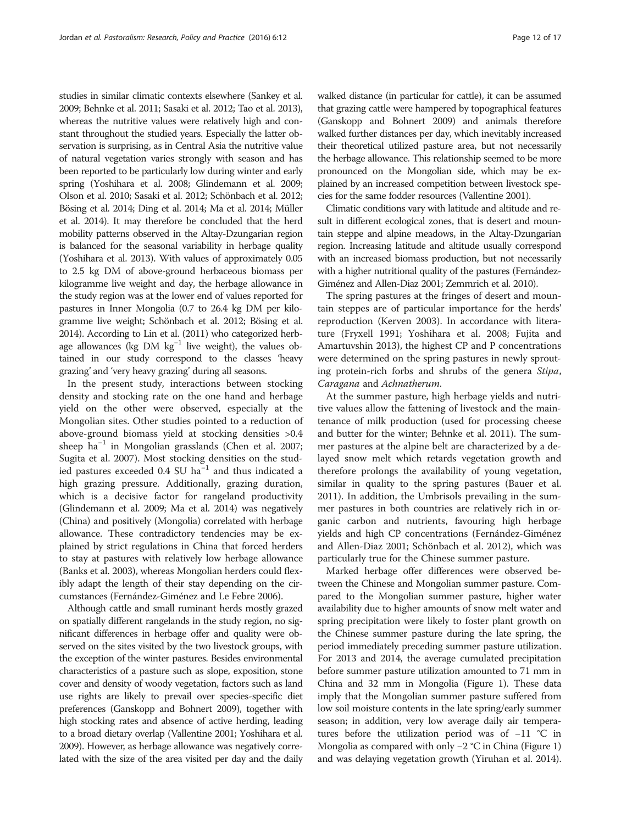studies in similar climatic contexts elsewhere (Sankey et al. [2009;](#page-15-0) Behnke et al. [2011](#page-14-0); Sasaki et al. [2012](#page-15-0); Tao et al. [2013](#page-16-0)), whereas the nutritive values were relatively high and constant throughout the studied years. Especially the latter observation is surprising, as in Central Asia the nutritive value of natural vegetation varies strongly with season and has been reported to be particularly low during winter and early spring (Yoshihara et al. [2008](#page-16-0); Glindemann et al. [2009](#page-14-0); Olson et al. [2010](#page-15-0); Sasaki et al. [2012;](#page-15-0) Schönbach et al. [2012](#page-16-0); Bösing et al. [2014](#page-14-0); Ding et al. [2014;](#page-14-0) Ma et al. [2014;](#page-15-0) Müller et al. [2014\)](#page-15-0). It may therefore be concluded that the herd mobility patterns observed in the Altay-Dzungarian region is balanced for the seasonal variability in herbage quality (Yoshihara et al. [2013](#page-16-0)). With values of approximately 0.05 to 2.5 kg DM of above-ground herbaceous biomass per kilogramme live weight and day, the herbage allowance in the study region was at the lower end of values reported for pastures in Inner Mongolia (0.7 to 26.4 kg DM per kilogramme live weight; Schönbach et al. [2012](#page-16-0); Bösing et al. [2014\)](#page-14-0). According to Lin et al. [\(2011\)](#page-15-0) who categorized herbage allowances (kg DM kg−<sup>1</sup> live weight), the values obtained in our study correspond to the classes 'heavy grazing' and 'very heavy grazing' during all seasons.

In the present study, interactions between stocking density and stocking rate on the one hand and herbage yield on the other were observed, especially at the Mongolian sites. Other studies pointed to a reduction of above-ground biomass yield at stocking densities >0.4 sheep ha<sup> $-1$ </sup> in Mongolian grasslands (Chen et al. [2007](#page-14-0); Sugita et al. [2007\)](#page-16-0). Most stocking densities on the studied pastures exceeded 0.4 SU ha−<sup>1</sup> and thus indicated a high grazing pressure. Additionally, grazing duration, which is a decisive factor for rangeland productivity (Glindemann et al. [2009](#page-14-0); Ma et al. [2014\)](#page-15-0) was negatively (China) and positively (Mongolia) correlated with herbage allowance. These contradictory tendencies may be explained by strict regulations in China that forced herders to stay at pastures with relatively low herbage allowance (Banks et al. [2003\)](#page-14-0), whereas Mongolian herders could flexibly adapt the length of their stay depending on the circumstances (Fernández-Giménez and Le Febre [2006](#page-14-0)).

Although cattle and small ruminant herds mostly grazed on spatially different rangelands in the study region, no significant differences in herbage offer and quality were observed on the sites visited by the two livestock groups, with the exception of the winter pastures. Besides environmental characteristics of a pasture such as slope, exposition, stone cover and density of woody vegetation, factors such as land use rights are likely to prevail over species-specific diet preferences (Ganskopp and Bohnert [2009\)](#page-14-0), together with high stocking rates and absence of active herding, leading to a broad dietary overlap (Vallentine [2001;](#page-16-0) Yoshihara et al. [2009\)](#page-16-0). However, as herbage allowance was negatively correlated with the size of the area visited per day and the daily walked distance (in particular for cattle), it can be assumed that grazing cattle were hampered by topographical features (Ganskopp and Bohnert [2009\)](#page-14-0) and animals therefore walked further distances per day, which inevitably increased their theoretical utilized pasture area, but not necessarily the herbage allowance. This relationship seemed to be more pronounced on the Mongolian side, which may be explained by an increased competition between livestock species for the same fodder resources (Vallentine [2001](#page-16-0)).

Climatic conditions vary with latitude and altitude and result in different ecological zones, that is desert and mountain steppe and alpine meadows, in the Altay-Dzungarian region. Increasing latitude and altitude usually correspond with an increased biomass production, but not necessarily with a higher nutritional quality of the pastures (Fernández-Giménez and Allen-Diaz [2001;](#page-14-0) Zemmrich et al. [2010](#page-16-0)).

The spring pastures at the fringes of desert and mountain steppes are of particular importance for the herds' reproduction (Kerven [2003\)](#page-15-0). In accordance with literature (Fryxell [1991;](#page-14-0) Yoshihara et al. [2008](#page-16-0); Fujita and Amartuvshin [2013\)](#page-14-0), the highest CP and P concentrations were determined on the spring pastures in newly sprouting protein-rich forbs and shrubs of the genera Stipa, Caragana and Achnatherum.

At the summer pasture, high herbage yields and nutritive values allow the fattening of livestock and the maintenance of milk production (used for processing cheese and butter for the winter; Behnke et al. [2011\)](#page-14-0). The summer pastures at the alpine belt are characterized by a delayed snow melt which retards vegetation growth and therefore prolongs the availability of young vegetation, similar in quality to the spring pastures (Bauer et al. [2011](#page-14-0)). In addition, the Umbrisols prevailing in the summer pastures in both countries are relatively rich in organic carbon and nutrients, favouring high herbage yields and high CP concentrations (Fernández-Giménez and Allen-Diaz [2001](#page-14-0); Schönbach et al. [2012\)](#page-16-0), which was particularly true for the Chinese summer pasture.

Marked herbage offer differences were observed between the Chinese and Mongolian summer pasture. Compared to the Mongolian summer pasture, higher water availability due to higher amounts of snow melt water and spring precipitation were likely to foster plant growth on the Chinese summer pasture during the late spring, the period immediately preceding summer pasture utilization. For 2013 and 2014, the average cumulated precipitation before summer pasture utilization amounted to 71 mm in China and 32 mm in Mongolia (Figure [1\)](#page-2-0). These data imply that the Mongolian summer pasture suffered from low soil moisture contents in the late spring/early summer season; in addition, very low average daily air temperatures before the utilization period was of −11 °C in Mongolia as compared with only −2 °C in China (Figure [1](#page-2-0)) and was delaying vegetation growth (Yiruhan et al. [2014](#page-16-0)).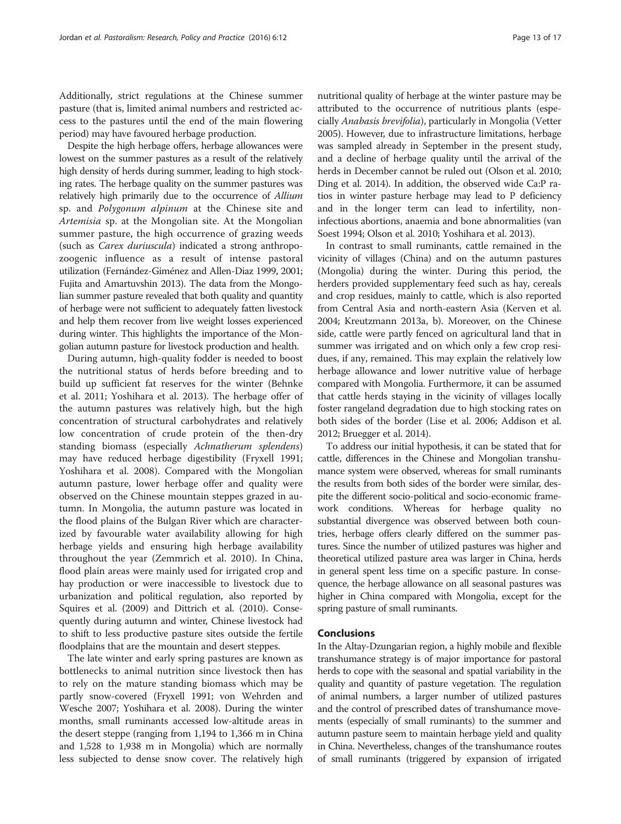Additionally, strict regulations at the Chinese summer pasture (that is, limited animal numbers and restricted access to the pastures until the end of the main flowering period) may have favoured herbage production.

Despite the high herbage offers, herbage allowances were lowest on the summer pastures as a result of the relatively high density of herds during summer, leading to high stocking rates. The herbage quality on the summer pastures was relatively high primarily due to the occurrence of Allium sp. and Polygonum alpinum at the Chinese site and Artemisia sp. at the Mongolian site. At the Mongolian summer pasture, the high occurrence of grazing weeds (such as Carex duriuscula) indicated a strong anthropozoogenic influence as a result of intense pastoral utilization (Fernández-Giménez and Allen-Diaz [1999, 2001](#page-14-0); Fujita and Amartuvshin [2013](#page-14-0)). The data from the Mongolian summer pasture revealed that both quality and quantity of herbage were not sufficient to adequately fatten livestock and help them recover from live weight losses experienced during winter. This highlights the importance of the Mongolian autumn pasture for livestock production and health.

During autumn, high-quality fodder is needed to boost the nutritional status of herds before breeding and to build up sufficient fat reserves for the winter (Behnke et al. [2011;](#page-14-0) Yoshihara et al. [2013\)](#page-16-0). The herbage offer of the autumn pastures was relatively high, but the high concentration of structural carbohydrates and relatively low concentration of crude protein of the then-dry standing biomass (especially Achnatherum splendens) may have reduced herbage digestibility (Fryxell [1991](#page-14-0); Yoshihara et al. [2008](#page-16-0)). Compared with the Mongolian autumn pasture, lower herbage offer and quality were observed on the Chinese mountain steppes grazed in autumn. In Mongolia, the autumn pasture was located in the flood plains of the Bulgan River which are characterized by favourable water availability allowing for high herbage yields and ensuring high herbage availability throughout the year (Zemmrich et al. [2010](#page-16-0)). In China, flood plain areas were mainly used for irrigated crop and hay production or were inaccessible to livestock due to urbanization and political regulation, also reported by Squires et al. [\(2009](#page-16-0)) and Dittrich et al. ([2010\)](#page-14-0). Consequently during autumn and winter, Chinese livestock had to shift to less productive pasture sites outside the fertile floodplains that are the mountain and desert steppes.

The late winter and early spring pastures are known as bottlenecks to animal nutrition since livestock then has to rely on the mature standing biomass which may be partly snow-covered (Fryxell [1991;](#page-14-0) von Wehrden and Wesche [2007;](#page-16-0) Yoshihara et al. [2008](#page-16-0)). During the winter months, small ruminants accessed low-altitude areas in the desert steppe (ranging from 1,194 to 1,366 m in China and 1,528 to 1,938 m in Mongolia) which are normally less subjected to dense snow cover. The relatively high

nutritional quality of herbage at the winter pasture may be attributed to the occurrence of nutritious plants (especially Anabasis brevifolia), particularly in Mongolia (Vetter [2005\)](#page-16-0). However, due to infrastructure limitations, herbage was sampled already in September in the present study, and a decline of herbage quality until the arrival of the herds in December cannot be ruled out (Olson et al. [2010](#page-15-0); Ding et al. [2014\)](#page-14-0). In addition, the observed wide Ca:P ratios in winter pasture herbage may lead to P deficiency and in the longer term can lead to infertility, noninfectious abortions, anaemia and bone abnormalities (van Soest [1994;](#page-16-0) Olson et al. [2010;](#page-15-0) Yoshihara et al. [2013\)](#page-16-0).

In contrast to small ruminants, cattle remained in the vicinity of villages (China) and on the autumn pastures (Mongolia) during the winter. During this period, the herders provided supplementary feed such as hay, cereals and crop residues, mainly to cattle, which is also reported from Central Asia and north-eastern Asia (Kerven et al. [2004;](#page-15-0) Kreutzmann [2013a](#page-15-0), [b](#page-15-0)). Moreover, on the Chinese side, cattle were partly fenced on agricultural land that in summer was irrigated and on which only a few crop residues, if any, remained. This may explain the relatively low herbage allowance and lower nutritive value of herbage compared with Mongolia. Furthermore, it can be assumed that cattle herds staying in the vicinity of villages locally foster rangeland degradation due to high stocking rates on both sides of the border (Lise et al. [2006;](#page-15-0) Addison et al. [2012;](#page-14-0) Bruegger et al. [2014](#page-14-0)).

To address our initial hypothesis, it can be stated that for cattle, differences in the Chinese and Mongolian transhumance system were observed, whereas for small ruminants the results from both sides of the border were similar, despite the different socio-political and socio-economic framework conditions. Whereas for herbage quality no substantial divergence was observed between both countries, herbage offers clearly differed on the summer pastures. Since the number of utilized pastures was higher and theoretical utilized pasture area was larger in China, herds in general spent less time on a specific pasture. In consequence, the herbage allowance on all seasonal pastures was higher in China compared with Mongolia, except for the spring pasture of small ruminants.

#### Conclusions

In the Altay-Dzungarian region, a highly mobile and flexible transhumance strategy is of major importance for pastoral herds to cope with the seasonal and spatial variability in the quality and quantity of pasture vegetation. The regulation of animal numbers, a larger number of utilized pastures and the control of prescribed dates of transhumance movements (especially of small ruminants) to the summer and autumn pasture seem to maintain herbage yield and quality in China. Nevertheless, changes of the transhumance routes of small ruminants (triggered by expansion of irrigated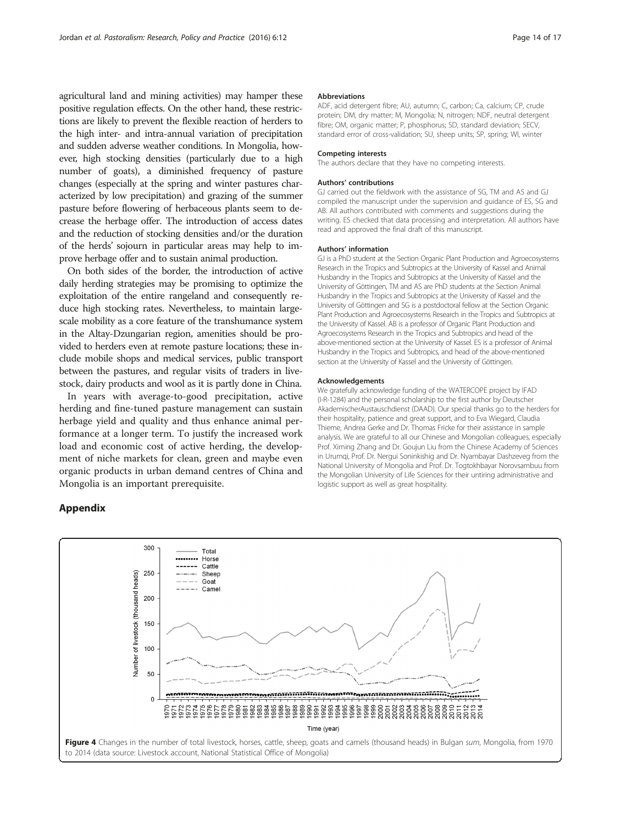<span id="page-13-0"></span>agricultural land and mining activities) may hamper these positive regulation effects. On the other hand, these restrictions are likely to prevent the flexible reaction of herders to the high inter- and intra-annual variation of precipitation and sudden adverse weather conditions. In Mongolia, however, high stocking densities (particularly due to a high number of goats), a diminished frequency of pasture changes (especially at the spring and winter pastures characterized by low precipitation) and grazing of the summer pasture before flowering of herbaceous plants seem to decrease the herbage offer. The introduction of access dates and the reduction of stocking densities and/or the duration of the herds' sojourn in particular areas may help to improve herbage offer and to sustain animal production.

On both sides of the border, the introduction of active daily herding strategies may be promising to optimize the exploitation of the entire rangeland and consequently reduce high stocking rates. Nevertheless, to maintain largescale mobility as a core feature of the transhumance system in the Altay-Dzungarian region, amenities should be provided to herders even at remote pasture locations; these include mobile shops and medical services, public transport between the pastures, and regular visits of traders in livestock, dairy products and wool as it is partly done in China.

In years with average-to-good precipitation, active herding and fine-tuned pasture management can sustain herbage yield and quality and thus enhance animal performance at a longer term. To justify the increased work load and economic cost of active herding, the development of niche markets for clean, green and maybe even organic products in urban demand centres of China and Mongolia is an important prerequisite.

#### Appendix

#### Abbreviations

ADF, acid detergent fibre; AU, autumn; C, carbon; Ca, calcium; CP, crude protein; DM, dry matter; M, Mongolia; N, nitrogen; NDF, neutral detergent fibre; OM, organic matter; P, phosphorus; SD, standard deviation; SECV, standard error of cross-validation; SU, sheep units; SP, spring; WI, winter

#### Competing interests

The authors declare that they have no competing interests.

#### Authors' contributions

GJ carried out the fieldwork with the assistance of SG, TM and AS and GJ compiled the manuscript under the supervision and guidance of ES, SG and AB. All authors contributed with comments and suggestions during the writing. ES checked that data processing and interpretation. All authors have read and approved the final draft of this manuscript.

#### Authors' information

GJ is a PhD student at the Section Organic Plant Production and Agroecosystems Research in the Tropics and Subtropics at the University of Kassel and Animal Husbandry in the Tropics and Subtropics at the University of Kassel and the University of Göttingen, TM and AS are PhD students at the Section Animal Husbandry in the Tropics and Subtropics at the University of Kassel and the University of Göttingen and SG is a postdoctoral fellow at the Section Organic Plant Production and Agroecosystems Research in the Tropics and Subtropics at the University of Kassel. AB is a professor of Organic Plant Production and Agroecosystems Research in the Tropics and Subtropics and head of the above-mentioned section at the University of Kassel. ES is a professor of Animal Husbandry in the Tropics and Subtropics, and head of the above-mentioned section at the University of Kassel and the University of Göttingen.

#### Acknowledgements

We gratefully acknowledge funding of the WATERCOPE project by IFAD (I-R-1284) and the personal scholarship to the first author by Deutscher AkademischerAustauschdienst (DAAD). Our special thanks go to the herders for their hospitality, patience and great support, and to Eva Wiegard, Claudia Thieme, Andrea Gerke and Dr. Thomas Fricke for their assistance in sample analysis. We are grateful to all our Chinese and Mongolian colleagues, especially Prof. Ximing Zhang and Dr. Goujun Liu from the Chinese Academy of Sciences in Urumqi, Prof. Dr. Nergui Soninkishig and Dr. Nyambayar Dashzeveg from the National University of Mongolia and Prof. Dr. Togtokhbayar Norovsambuu from the Mongolian University of Life Sciences for their untiring administrative and logistic support as well as great hospitality.

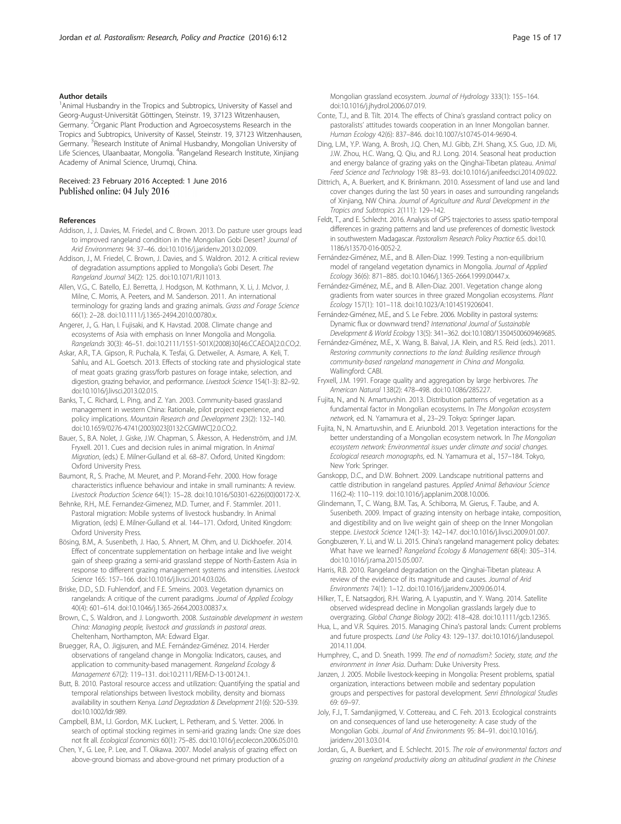#### <span id="page-14-0"></span>Author details

<sup>1</sup> Animal Husbandry in the Tropics and Subtropics, University of Kassel and Georg-August-Universität Göttingen, Steinstr. 19, 37123 Witzenhausen, Germany. <sup>2</sup>Organic Plant Production and Agroecosystems Research in the Tropics and Subtropics, University of Kassel, Steinstr. 19, 37123 Witzenhausen, Germany. <sup>3</sup>Research Institute of Animal Husbandry, Mongolian University of Life Sciences, Ulaanbaatar, Mongolia. <sup>4</sup>Rangeland Research Institute, Xinjiang Academy of Animal Science, Urumqi, China.

#### Received: 23 February 2016 Accepted: 1 June 2016 Published online: 04 July 2016

#### References

- Addison, J., J. Davies, M. Friedel, and C. Brown. 2013. Do pasture user groups lead to improved rangeland condition in the Mongolian Gobi Desert? Journal of Arid Environments 94: 37–46. doi:[10.1016/j.jaridenv.2013.02.009](http://dx.doi.org/10.1016/j.jaridenv.2013.02.009).
- Addison, J., M. Friedel, C. Brown, J. Davies, and S. Waldron. 2012. A critical review of degradation assumptions applied to Mongolia's Gobi Desert. The Rangeland Journal 34(2): 125. doi:[10.1071/RJ11013.](http://dx.doi.org/10.1071/RJ11013)
- Allen, V.G., C. Batello, E.J. Berretta, J. Hodgson, M. Kothmann, X. Li, J. McIvor, J. Milne, C. Morris, A. Peeters, and M. Sanderson. 2011. An international terminology for grazing lands and grazing animals. Grass and Forage Science 66(1): 2–28. doi[:10.1111/j.1365-2494.2010.00780.x.](http://dx.doi.org/10.1111/j.1365-2494.2010.00780.x)
- Angerer, J., G. Han, I. Fujisaki, and K. Havstad. 2008. Climate change and ecosystems of Asia with emphasis on Inner Mongolia and Mongolia. Rangelands 30(3): 46–51. doi:[10.2111/1551-501X\(2008\)30\[46:CCAEOA\]2.0.CO;2](http://dx.doi.org/10.2111/1551-501X(2008)30%5B46:CCAEOA%5D2.0.CO;2).
- Askar, A.R., T.A. Gipson, R. Puchala, K. Tesfai, G. Detweiler, A. Asmare, A. Keli, T. Sahlu, and A.L. Goetsch. 2013. Effects of stocking rate and physiological state of meat goats grazing grass/forb pastures on forage intake, selection, and digestion, grazing behavior, and performance. Livestock Science 154(1-3): 82–92. doi:[10.1016/j.livsci.2013.02.015.](http://dx.doi.org/10.1016/j.livsci.2013.02.015)
- Banks, T., C. Richard, L. Ping, and Z. Yan. 2003. Community-based grassland management in western China: Rationale, pilot project experience, and policy implications. Mountain Research and Development 23(2): 132–140. doi[:10.1659/0276-4741\(2003\)023\[0132:CGMIWC\]2.0.CO;2](http://dx.doi.org/10.1659/0276-4741(2003)023%5B0132:CGMIWC%5D2.0.CO;2).
- Bauer, S., B.A. Nolet, J. Giske, J.W. Chapman, S. Åkesson, A. Hedenström, and J.M. Fryxell. 2011. Cues and decision rules in animal migration. In Animal Migration, (eds.) E. Milner-Gulland et al. 68–87. Oxford, United Kingdom: Oxford University Press.
- Baumont, R., S. Prache, M. Meuret, and P. Morand-Fehr. 2000. How forage characteristics influence behaviour and intake in small ruminants: A review. Livestock Production Science 64(1): 15–28. doi:[10.1016/S0301-6226\(00\)00172-X](http://dx.doi.org/10.1016/S0301-6226(00)00172-X).
- Behnke, R.H., M.E. Fernandez-Gimenez, M.D. Turner, and F. Stammler. 2011. Pastoral migration: Mobile systems of livestock husbandry. In Animal Migration, (eds) E. Milner-Gulland et al. 144–171. Oxford, United Kingdom: Oxford University Press.
- Bösing, B.M., A. Susenbeth, J. Hao, S. Ahnert, M. Ohm, and U. Dickhoefer. 2014. Effect of concentrate supplementation on herbage intake and live weight gain of sheep grazing a semi-arid grassland steppe of North-Eastern Asia in response to different grazing management systems and intensities. Livestock Science 165: 157–166. doi[:10.1016/j.livsci.2014.03.026](http://dx.doi.org/10.1016/j.livsci.2014.03.026).
- Briske, D.D., S.D. Fuhlendorf, and F.E. Smeins. 2003. Vegetation dynamics on rangelands: A critique of the current paradigms. Journal of Applied Ecology 40(4): 601–614. doi:[10.1046/j.1365-2664.2003.00837.x](http://dx.doi.org/10.1046/j.1365-2664.2003.00837.x).
- Brown, C., S. Waldron, and J. Longworth. 2008. Sustainable development in western China: Managing people, livestock and grasslands in pastoral areas. Cheltenham, Northampton, MA: Edward Elgar.
- Bruegger, R.A., O. Jigjsuren, and M.E. Fernández-Giménez. 2014. Herder observations of rangeland change in Mongolia: Indicators, causes, and application to community-based management. Rangeland Ecology & Management 67(2): 119–131. doi:[10.2111/REM-D-13-00124.1](http://dx.doi.org/10.2111/REM-D-13-00124.1).
- Butt, B. 2010. Pastoral resource access and utilization: Quantifying the spatial and temporal relationships between livestock mobility, density and biomass availability in southern Kenya. Land Degradation & Development 21(6): 520–539. doi:[10.1002/ldr.989](http://dx.doi.org/10.1002/ldr.989).
- Campbell, B.M., I.J. Gordon, M.K. Luckert, L. Petheram, and S. Vetter. 2006. In search of optimal stocking regimes in semi-arid grazing lands: One size does not fit all. Ecological Economics 60(1): 75–85. doi[:10.1016/j.ecolecon.2006.05.010](http://dx.doi.org/10.1016/j.ecolecon.2006.05.010).
- Chen, Y., G. Lee, P. Lee, and T. Oikawa. 2007. Model analysis of grazing effect on above-ground biomass and above-ground net primary production of a

Mongolian grassland ecosystem. Journal of Hydrology 333(1): 155–164. doi[:10.1016/j.jhydrol.2006.07.019.](http://dx.doi.org/10.1016/j.jhydrol.2006.07.019)

- Conte, T.J., and B. Tilt. 2014. The effects of China's grassland contract policy on pastoralists' attitudes towards cooperation in an Inner Mongolian banner. Human Ecology 42(6): 837–846. doi[:10.1007/s10745-014-9690-4.](http://dx.doi.org/10.1007/s10745-014-9690-4)
- Ding, L.M., Y.P. Wang, A. Brosh, J.Q. Chen, M.J. Gibb, Z.H. Shang, X.S. Guo, J.D. Mi, J.W. Zhou, H.C. Wang, Q. Qiu, and R.J. Long. 2014. Seasonal heat production and energy balance of grazing yaks on the Qinghai-Tibetan plateau. Animal Feed Science and Technology 198: 83–93. doi[:10.1016/j.anifeedsci.2014.09.022](http://dx.doi.org/10.1016/j.anifeedsci.2014.09.022).
- Dittrich, A., A. Buerkert, and K. Brinkmann. 2010. Assessment of land use and land cover changes during the last 50 years in oases and surrounding rangelands of Xinjiang, NW China. Journal of Agriculture and Rural Development in the Tropics and Subtropics 2(111): 129–142.
- Feldt, T., and E. Schlecht. 2016. Analysis of GPS trajectories to assess spatio-temporal differences in grazing patterns and land use preferences of domestic livestock in southwestern Madagascar. Pastoralism Research Policy Practice 6:5. doi[:10.](http://dx.doi.org/10.1186/s13570-016-0052-2) [1186/s13570-016-0052-2](http://dx.doi.org/10.1186/s13570-016-0052-2).
- Fernández-Giménez, M.E., and B. Allen-Diaz. 1999. Testing a non-equilibrium model of rangeland vegetation dynamics in Mongolia. Journal of Applied Ecology 36(6): 871–885. doi:[10.1046/j.1365-2664.1999.00447.x](http://dx.doi.org/10.1046/j.1365-2664.1999.00447.x).
- Fernández-Giménez, M.E., and B. Allen-Diaz. 2001. Vegetation change along gradients from water sources in three grazed Mongolian ecosystems. Plant Ecology 157(1): 101–118. doi[:10.1023/A:1014519206041.](http://dx.doi.org/10.1023/A:1014519206041)
- Fernández-Giménez, M.E., and S. Le Febre. 2006. Mobility in pastoral systems: Dynamic flux or downward trend? International Journal of Sustainable Development & World Ecology 13(5): 341–362. doi[:10.1080/13504500609469685](http://dx.doi.org/10.1080/13504500609469685).
- Fernández-Giménez, M.E., X. Wang, B. Baival, J.A. Klein, and R.S. Reid (eds.). 2011. Restoring community connections to the land: Building resilience through community-based rangeland management in China and Mongolia. Wallingford: CABI.
- Fryxell, J.M. 1991. Forage quality and aggregation by large herbivores. The American Natural 138(2): 478–498. doi:[10.1086/285227](http://dx.doi.org/10.1086/285227).
- Fujita, N., and N. Amartuvshin. 2013. Distribution patterns of vegetation as a fundamental factor in Mongolian ecosystems. In The Mongolian ecosystem network, ed. N. Yamamura et al., 23–29. Tokyo: Springer Japan.
- Fujita, N., N. Amartuvshin, and E. Ariunbold. 2013. Vegetation interactions for the better understanding of a Mongolian ecosystem network. In The Mongolian ecosystem network: Environmental issues under climate and social changes. Ecological research monographs, ed. N. Yamamura et al., 157–184. Tokyo, New York: Springer.
- Ganskopp, D.C., and D.W. Bohnert. 2009. Landscape nutritional patterns and cattle distribution in rangeland pastures. Applied Animal Behaviour Science 116(2-4): 110–119. doi:[10.1016/j.applanim.2008.10.006](http://dx.doi.org/10.1016/j.applanim.2008.10.006).
- Glindemann, T., C. Wang, B.M. Tas, A. Schiborra, M. Gierus, F. Taube, and A. Susenbeth. 2009. Impact of grazing intensity on herbage intake, composition, and digestibility and on live weight gain of sheep on the Inner Mongolian steppe. Livestock Science 124(1-3): 142–147. doi:[10.1016/j.livsci.2009.01.007.](http://dx.doi.org/10.1016/j.livsci.2009.01.007)
- Gongbuzeren, Y. Li, and W. Li. 2015. China's rangeland management policy debates: What have we learned? Rangeland Ecology & Management 68(4): 305–314. doi[:10.1016/j.rama.2015.05.007.](http://dx.doi.org/10.1016/j.rama.2015.05.007)
- Harris, R.B. 2010. Rangeland degradation on the Qinghai-Tibetan plateau: A review of the evidence of its magnitude and causes. Journal of Arid Environments 74(1): 1–12. doi:[10.1016/j.jaridenv.2009.06.014](http://dx.doi.org/10.1016/j.jaridenv.2009.06.014).
- Hilker, T., E. Natsagdorj, R.H. Waring, A. Lyapustin, and Y. Wang. 2014. Satellite observed widespread decline in Mongolian grasslands largely due to overgrazing. Global Change Biology 20(2): 418–428. doi[:10.1111/gcb.12365.](http://dx.doi.org/10.1111/gcb.12365)
- Hua, L., and V.R. Squires. 2015. Managing China's pastoral lands: Current problems and future prospects. Land Use Policy 43: 129–137. doi[:10.1016/j.landusepol.](http://dx.doi.org/10.1016/j.landusepol.2014.11.004) [2014.11.004.](http://dx.doi.org/10.1016/j.landusepol.2014.11.004)
- Humphrey, C., and D. Sneath. 1999. The end of nomadism?: Society, state, and the environment in Inner Asia. Durham: Duke University Press.
- Janzen, J. 2005. Mobile livestock-keeping in Mongolia: Present problems, spatial organization, interactions between mobile and sedentary population groups and perspectives for pastoral development. Senri Ethnological Studies 69: 69–97.
- Joly, F.J., T. Samdanjigmed, V. Cottereau, and C. Feh. 2013. Ecological constraints on and consequences of land use heterogeneity: A case study of the Mongolian Gobi. Journal of Arid Environments 95: 84–91. doi[:10.1016/j.](http://dx.doi.org/10.1016/j.jaridenv.2013.03.014) [jaridenv.2013.03.014](http://dx.doi.org/10.1016/j.jaridenv.2013.03.014).
- Jordan, G., A. Buerkert, and E. Schlecht. 2015. The role of environmental factors and grazing on rangeland productivity along an altitudinal gradient in the Chinese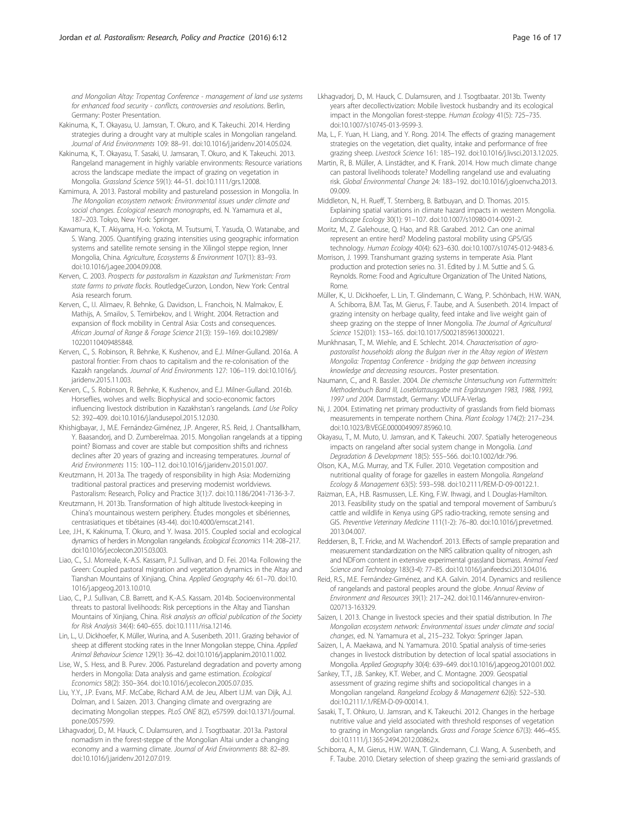<span id="page-15-0"></span>and Mongolian Altay: Tropentag Conference - management of land use systems for enhanced food security - conflicts, controversies and resolutions. Berlin, Germany: Poster Presentation.

- Kakinuma, K., T. Okayasu, U. Jamsran, T. Okuro, and K. Takeuchi. 2014. Herding strategies during a drought vary at multiple scales in Mongolian rangeland. Journal of Arid Environments 109: 88–91. doi:[10.1016/j.jaridenv.2014.05.024](http://dx.doi.org/10.1016/j.jaridenv.2014.05.024).
- Kakinuma, K., T. Okayasu, T. Sasaki, U. Jamsaran, T. Okuro, and K. Takeuchi. 2013. Rangeland management in highly variable environments: Resource variations across the landscape mediate the impact of grazing on vegetation in Mongolia. Grassland Science 59(1): 44–51. doi:[10.1111/grs.12008.](http://dx.doi.org/10.1111/grs.12008)
- Kamimura, A. 2013. Pastoral mobility and pastureland possession in Mongolia. In The Mongolian ecosystem network: Environmental issues under climate and social changes. Ecological research monographs, ed. N. Yamamura et al., 187–203. Tokyo, New York: Springer.
- Kawamura, K., T. Akiyama, H.-o. Yokota, M. Tsutsumi, T. Yasuda, O. Watanabe, and S. Wang. 2005. Quantifying grazing intensities using geographic information systems and satellite remote sensing in the Xilingol steppe region, Inner Mongolia, China. Agriculture, Ecosystems & Environment 107(1): 83–93. doi[:10.1016/j.agee.2004.09.008.](http://dx.doi.org/10.1016/j.agee.2004.09.008)
- Kerven, C. 2003. Prospects for pastoralism in Kazakstan and Turkmenistan: From state farms to private flocks. RoutledgeCurzon, London, New York: Central Asia research forum.
- Kerven, C., I.I. Alimaev, R. Behnke, G. Davidson, L. Franchois, N. Malmakov, E. Mathijs, A. Smailov, S. Temirbekov, and I. Wright. 2004. Retraction and expansion of flock mobility in Central Asia: Costs and consequences. African Journal of Range & Forage Science 21(3): 159–169. doi:[10.2989/](http://dx.doi.org/10.2989/10220110409485848) [10220110409485848.](http://dx.doi.org/10.2989/10220110409485848)
- Kerven, C., S. Robinson, R. Behnke, K. Kushenov, and E.J. Milner-Gulland. 2016a. A pastoral frontier: From chaos to capitalism and the re-colonisation of the Kazakh rangelands. Journal of Arid Environments 127: 106–119. doi:[10.1016/j.](http://dx.doi.org/10.1016/j.jaridenv.2015.11.003) [jaridenv.2015.11.003](http://dx.doi.org/10.1016/j.jaridenv.2015.11.003).
- Kerven, C., S. Robinson, R. Behnke, K. Kushenov, and E.J. Milner-Gulland. 2016b. Horseflies, wolves and wells: Biophysical and socio-economic factors influencing livestock distribution in Kazakhstan's rangelands. Land Use Policy 52: 392–409. doi:[10.1016/j.landusepol.2015.12.030.](http://dx.doi.org/10.1016/j.landusepol.2015.12.030)
- Khishigbayar, J., M.E. Fernández-Giménez, J.P. Angerer, R.S. Reid, J. Chantsallkham, Y. Baasandorj, and D. Zumberelmaa. 2015. Mongolian rangelands at a tipping point? Biomass and cover are stable but composition shifts and richness declines after 20 years of grazing and increasing temperatures. Journal of Arid Environments 115: 100–112. doi[:10.1016/j.jaridenv.2015.01.007.](http://dx.doi.org/10.1016/j.jaridenv.2015.01.007)
- Kreutzmann, H. 2013a. The tragedy of responsibility in high Asia: Modernizing traditional pastoral practices and preserving modernist worldviews. Pastoralism: Research, Policy and Practice 3(1):7. doi[:10.1186/2041-7136-3-7.](http://dx.doi.org/10.1186/2041-7136-3-7)
- Kreutzmann, H. 2013b. Transformation of high altitude livestock-keeping in China's mountainous western periphery. Études mongoles et sibériennes, centrasiatiques et tibétaines (43-44). doi[:10.4000/emscat.2141.](http://dx.doi.org/10.4000/emscat.2141)
- Lee, J.H., K. Kakinuma, T. Okuro, and Y. Iwasa. 2015. Coupled social and ecological dynamics of herders in Mongolian rangelands. Ecological Economics 114: 208–217. doi[:10.1016/j.ecolecon.2015.03.003](http://dx.doi.org/10.1016/j.ecolecon.2015.03.003).
- Liao, C., S.J. Morreale, K.-A.S. Kassam, P.J. Sullivan, and D. Fei. 2014a. Following the Green: Coupled pastoral migration and vegetation dynamics in the Altay and Tianshan Mountains of Xinjiang, China. Applied Geography 46: 61–70. doi:[10.](http://dx.doi.org/10.1016/j.apgeog.2013.10.010) [1016/j.apgeog.2013.10.010.](http://dx.doi.org/10.1016/j.apgeog.2013.10.010)
- Liao, C., P.J. Sullivan, C.B. Barrett, and K.-A.S. Kassam. 2014b. Socioenvironmental threats to pastoral livelihoods: Risk perceptions in the Altay and Tianshan Mountains of Xinjiang, China. Risk analysis an official publication of the Society for Risk Analysis 34(4): 640–655. doi[:10.1111/risa.12146.](http://dx.doi.org/10.1111/risa.12146)
- Lin, L., U. Dickhoefer, K. Müller, Wurina, and A. Susenbeth. 2011. Grazing behavior of sheep at different stocking rates in the Inner Mongolian steppe, China. Applied Animal Behaviour Science 129(1): 36–42. doi:[10.1016/j.applanim.2010.11.002](http://dx.doi.org/10.1016/j.applanim.2010.11.002).
- Lise, W., S. Hess, and B. Purev. 2006. Pastureland degradation and poverty among herders in Mongolia: Data analysis and game estimation. Ecological Economics 58(2): 350–364. doi:[10.1016/j.ecolecon.2005.07.035.](http://dx.doi.org/10.1016/j.ecolecon.2005.07.035)
- Liu, Y.Y., J.P. Evans, M.F. McCabe, Richard A.M. de Jeu, Albert I.J.M. van Dijk, A.J. Dolman, and I. Saizen. 2013. Changing climate and overgrazing are decimating Mongolian steppes. PLoS ONE 8(2), e57599. doi[:10.1371/journal.](http://dx.doi.org/10.1371/journal.pone.0057599) [pone.0057599.](http://dx.doi.org/10.1371/journal.pone.0057599)
- Lkhagvadorj, D., M. Hauck, C. Dulamsuren, and J. Tsogtbaatar. 2013a. Pastoral nomadism in the forest-steppe of the Mongolian Altai under a changing economy and a warming climate. Journal of Arid Environments 88: 82–89. doi[:10.1016/j.jaridenv.2012.07.019.](http://dx.doi.org/10.1016/j.jaridenv.2012.07.019)
- Lkhagvadorj, D., M. Hauck, C. Dulamsuren, and J. Tsogtbaatar. 2013b. Twenty years after decollectivization: Mobile livestock husbandry and its ecological impact in the Mongolian forest-steppe. Human Ecology 41(5): 725–735. doi[:10.1007/s10745-013-9599-3](http://dx.doi.org/10.1007/s10745-013-9599-3).
- Ma, L., F. Yuan, H. Liang, and Y. Rong. 2014. The effects of grazing management strategies on the vegetation, diet quality, intake and performance of free grazing sheep. Livestock Science 161: 185–192. doi:[10.1016/j.livsci.2013.12.025](http://dx.doi.org/10.1016/j.livsci.2013.12.025).
- Martin, R., B. Müller, A. Linstädter, and K. Frank. 2014. How much climate change can pastoral livelihoods tolerate? Modelling rangeland use and evaluating risk. Global Environmental Change 24: 183–192. doi:[10.1016/j.gloenvcha.2013.](http://dx.doi.org/10.1016/j.gloenvcha.2013.09.009) [09.009.](http://dx.doi.org/10.1016/j.gloenvcha.2013.09.009)
- Middleton, N., H. Rueff, T. Sternberg, B. Batbuyan, and D. Thomas. 2015. Explaining spatial variations in climate hazard impacts in western Mongolia. Landscape Ecology 30(1): 91–107. doi[:10.1007/s10980-014-0091-2.](http://dx.doi.org/10.1007/s10980-014-0091-2)
- Moritz, M., Z. Galehouse, Q. Hao, and R.B. Garabed. 2012. Can one animal represent an entire herd? Modeling pastoral mobility using GPS/GIS technology. Human Ecology 40(4): 623–630. doi[:10.1007/s10745-012-9483-6](http://dx.doi.org/10.1007/s10745-012-9483-6).
- Morrison, J. 1999. Transhumant grazing systems in temperate Asia. Plant production and protection series no. 31. Edited by J. M. Suttie and S. G. Reynolds. Rome: Food and Agriculture Organization of The United Nations, Rome.
- Müller, K., U. Dickhoefer, L. Lin, T. Glindemann, C. Wang, P. Schönbach, H.W. WAN, A. Schiborra, B.M. Tas, M. Gierus, F. Taube, and A. Susenbeth. 2014. Impact of grazing intensity on herbage quality, feed intake and live weight gain of sheep grazing on the steppe of Inner Mongolia. The Journal of Agricultural Science 152(01): 153–165. doi:[10.1017/S0021859613000221.](http://dx.doi.org/10.1017/S0021859613000221)
- Munkhnasan, T., M. Wiehle, and E. Schlecht. 2014. Characterisation of agropastoralist households along the Bulgan river in the Altay region of Western Mongolia: Tropentag Conference - bridging the gap between increasing knowledge and decreasing resources.. Poster presentation.
- Naumann, C., and R. Bassler. 2004. Die chemische Untersuchung von Futtermitteln: Methodenbuch Band III, Loseblattausgabe mit Ergänzungen 1983, 1988, 1993, 1997 und 2004. Darmstadt, Germany: VDLUFA-Verlag.
- Ni, J. 2004. Estimating net primary productivity of grasslands from field biomass measurements in temperate northern China. Plant Ecology 174(2): 217–234. doi[:10.1023/B:VEGE.0000049097.85960.10.](http://dx.doi.org/10.1023/B:VEGE.0000049097.85960.10)
- Okayasu, T., M. Muto, U. Jamsran, and K. Takeuchi. 2007. Spatially heterogeneous impacts on rangeland after social system change in Mongolia. Land Degradation & Development 18(5): 555–566. doi[:10.1002/ldr.796](http://dx.doi.org/10.1002/ldr.796).
- Olson, K.A., M.G. Murray, and T.K. Fuller. 2010. Vegetation composition and nutritional quality of forage for gazelles in eastern Mongolia. Rangeland Ecology & Management 63(5): 593–598. doi:[10.2111/REM-D-09-00122.1.](http://dx.doi.org/10.2111/REM-D-09-00122.1)
- Raizman, E.A., H.B. Rasmussen, L.E. King, F.W. Ihwagi, and I. Douglas-Hamilton. 2013. Feasibility study on the spatial and temporal movement of Samburu's cattle and wildlife in Kenya using GPS radio-tracking, remote sensing and GIS. Preventive Veterinary Medicine 111(1-2): 76–80. doi:[10.1016/j.prevetmed.](http://dx.doi.org/10.1016/j.prevetmed.2013.04.007) [2013.04.007.](http://dx.doi.org/10.1016/j.prevetmed.2013.04.007)
- Reddersen, B., T. Fricke, and M. Wachendorf. 2013. Effects of sample preparation and measurement standardization on the NIRS calibration quality of nitrogen, ash and NDFom content in extensive experimental grassland biomass. Animal Feed Science and Technology 183(3-4): 77–85. doi[:10.1016/j.anifeedsci.2013.04.016.](http://dx.doi.org/10.1016/j.anifeedsci.2013.04.016)
- Reid, R.S., M.E. Fernández-Giménez, and K.A. Galvin. 2014. Dynamics and resilience of rangelands and pastoral peoples around the globe. Annual Review of Environment and Resources 39(1): 217–242. doi:[10.1146/annurev-environ-](http://dx.doi.org/10.1146/annurev-environ-020713-163329)[020713-163329.](http://dx.doi.org/10.1146/annurev-environ-020713-163329)
- Saizen, I. 2013. Change in livestock species and their spatial distribution. In The Mongolian ecosystem network: Environmental issues under climate and social changes, ed. N. Yamamura et al., 215–232. Tokyo: Springer Japan.
- Saizen, I., A. Maekawa, and N. Yamamura. 2010. Spatial analysis of time-series changes in livestock distribution by detection of local spatial associations in Mongolia. Applied Geography 30(4): 639–649. doi[:10.1016/j.apgeog.2010.01.002.](http://dx.doi.org/10.1016/j.apgeog.2010.01.002)
- Sankey, T.T., J.B. Sankey, K.T. Weber, and C. Montagne. 2009. Geospatial assessment of grazing regime shifts and sociopolitical changes in a Mongolian rangeland. Rangeland Ecology & Management 62(6): 522–530. doi[:10.2111/.1/REM-D-09-00014.1.](http://dx.doi.org/10.2111/.1/REM-D-09-00014.1)
- Sasaki, T., T. Ohkuro, U. Jamsran, and K. Takeuchi. 2012. Changes in the herbage nutritive value and yield associated with threshold responses of vegetation to grazing in Mongolian rangelands. Grass and Forage Science 67(3): 446–455. doi[:10.1111/j.1365-2494.2012.00862.x](http://dx.doi.org/10.1111/j.1365-2494.2012.00862.x).
- Schiborra, A., M. Gierus, H.W. WAN, T. Glindemann, C.J. Wang, A. Susenbeth, and F. Taube. 2010. Dietary selection of sheep grazing the semi-arid grasslands of